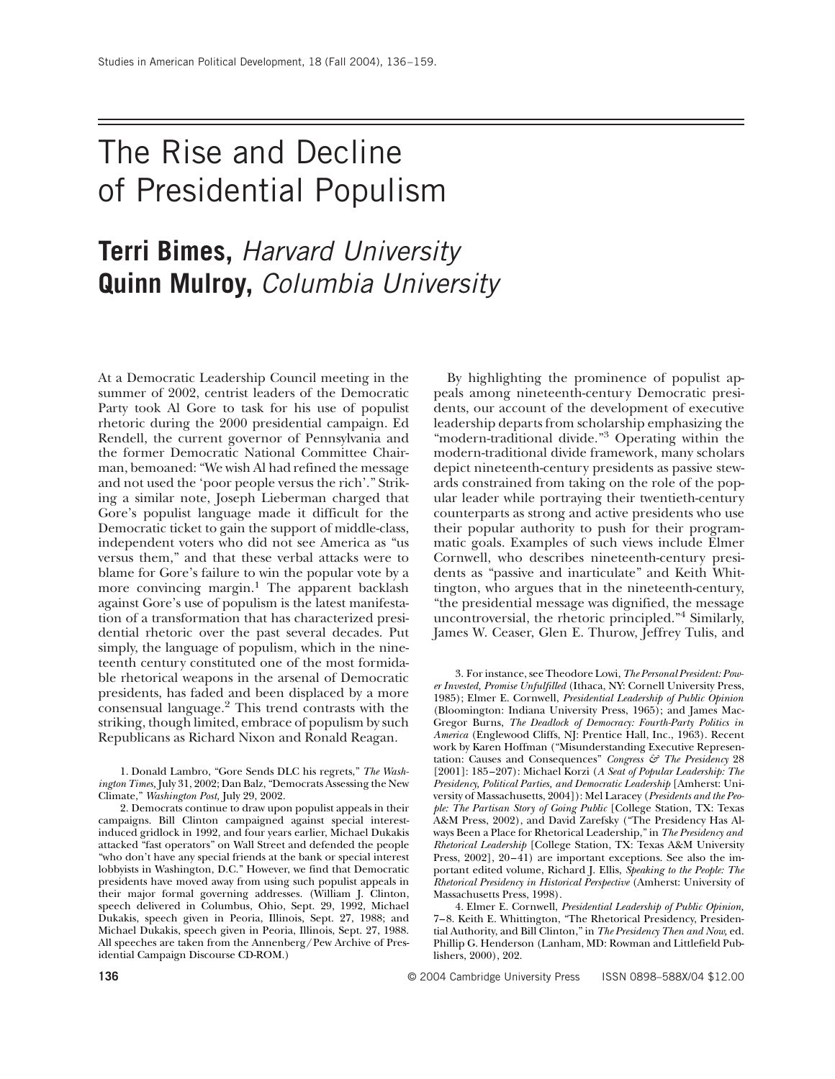# The Rise and Decline of Presidential Populism

# **Terri Bimes,** Harvard University **Quinn Mulroy,** Columbia University

At a Democratic Leadership Council meeting in the summer of 2002, centrist leaders of the Democratic Party took Al Gore to task for his use of populist rhetoric during the 2000 presidential campaign. Ed Rendell, the current governor of Pennsylvania and the former Democratic National Committee Chairman, bemoaned: "We wish Al had refined the message and not used the 'poor people versus the rich'." Striking a similar note, Joseph Lieberman charged that Gore's populist language made it difficult for the Democratic ticket to gain the support of middle-class, independent voters who did not see America as "us versus them," and that these verbal attacks were to blame for Gore's failure to win the popular vote by a more convincing margin.1 The apparent backlash against Gore's use of populism is the latest manifestation of a transformation that has characterized presidential rhetoric over the past several decades. Put simply, the language of populism, which in the nineteenth century constituted one of the most formidable rhetorical weapons in the arsenal of Democratic presidents, has faded and been displaced by a more consensual language.2 This trend contrasts with the striking, though limited, embrace of populism by such Republicans as Richard Nixon and Ronald Reagan.

1. Donald Lambro, "Gore Sends DLC his regrets," *The Washington Times,* July 31, 2002; Dan Balz, "Democrats Assessing the New Climate," *Washington Post,* July 29, 2002.

2. Democrats continue to draw upon populist appeals in their campaigns. Bill Clinton campaigned against special interestinduced gridlock in 1992, and four years earlier, Michael Dukakis attacked "fast operators" on Wall Street and defended the people "who don't have any special friends at the bank or special interest lobbyists in Washington, D.C." However, we find that Democratic presidents have moved away from using such populist appeals in their major formal governing addresses. (William J. Clinton, speech delivered in Columbus, Ohio, Sept. 29, 1992, Michael Dukakis, speech given in Peoria, Illinois, Sept. 27, 1988; and Michael Dukakis, speech given in Peoria, Illinois, Sept. 27, 1988. All speeches are taken from the Annenberg/Pew Archive of Presidential Campaign Discourse CD-ROM.)

By highlighting the prominence of populist appeals among nineteenth-century Democratic presidents, our account of the development of executive leadership departs from scholarship emphasizing the "modern-traditional divide."<sup>3</sup> Operating within the modern-traditional divide framework, many scholars depict nineteenth-century presidents as passive stewards constrained from taking on the role of the popular leader while portraying their twentieth-century counterparts as strong and active presidents who use their popular authority to push for their programmatic goals. Examples of such views include Elmer Cornwell, who describes nineteenth-century presidents as "passive and inarticulate" and Keith Whittington, who argues that in the nineteenth-century, "the presidential message was dignified, the message uncontroversial, the rhetoric principled."4 Similarly, James W. Ceaser, Glen E. Thurow, Jeffrey Tulis, and

3. For instance, see Theodore Lowi, *The Personal President: Power Invested, Promise Unfulfilled* (Ithaca, NY: Cornell University Press, 1985); Elmer E. Cornwell, *Presidential Leadership of Public Opinion* (Bloomington: Indiana University Press, 1965); and James Mac-Gregor Burns, *The Deadlock of Democracy: Fourth-Party Politics in America* (Englewood Cliffs, NJ: Prentice Hall, Inc., 1963). Recent work by Karen Hoffman ("Misunderstanding Executive Representation: Causes and Consequences" *Congress & The Presidency* 28 [2001]: 185–207): Michael Korzi (*A Seat of Popular Leadership: The Presidency, Political Parties, and Democratic Leadership* [Amherst: University of Massachusetts, 2004]): Mel Laracey (*Presidents and the People: The Partisan Story of Going Public* [College Station, TX: Texas A&M Press, 2002), and David Zarefsky ("The Presidency Has Always Been a Place for Rhetorical Leadership," in *The Presidency and Rhetorical Leadership* [College Station, TX: Texas A&M University Press, 2002], 20–41) are important exceptions. See also the important edited volume, Richard J. Ellis, *Speaking to the People: The Rhetorical Presidency in Historical Perspective* (Amherst: University of Massachusetts Press, 1998).

4. Elmer E. Cornwell, *Presidential Leadership of Public Opinion,* 7–8. Keith E. Whittington, "The Rhetorical Presidency, Presidential Authority, and Bill Clinton," in *The Presidency Then and Now,* ed. Phillip G. Henderson (Lanham, MD: Rowman and Littlefield Publishers, 2000), 202.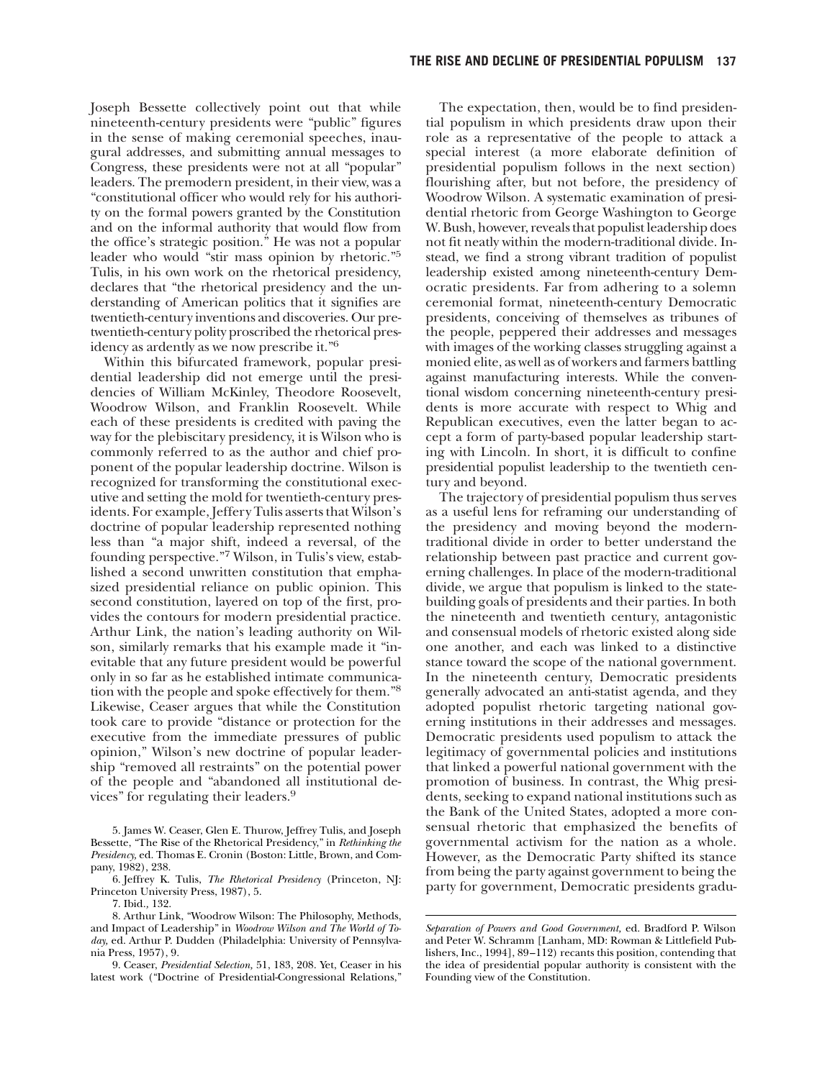Joseph Bessette collectively point out that while nineteenth-century presidents were "public" figures in the sense of making ceremonial speeches, inaugural addresses, and submitting annual messages to Congress, these presidents were not at all "popular" leaders. The premodern president, in their view, was a "constitutional officer who would rely for his authority on the formal powers granted by the Constitution and on the informal authority that would flow from the office's strategic position." He was not a popular leader who would "stir mass opinion by rhetoric."5 Tulis, in his own work on the rhetorical presidency, declares that "the rhetorical presidency and the understanding of American politics that it signifies are twentieth-century inventions and discoveries. Our pretwentieth-century polity proscribed the rhetorical presidency as ardently as we now prescribe it."6

Within this bifurcated framework, popular presidential leadership did not emerge until the presidencies of William McKinley, Theodore Roosevelt, Woodrow Wilson, and Franklin Roosevelt. While each of these presidents is credited with paving the way for the plebiscitary presidency, it is Wilson who is commonly referred to as the author and chief proponent of the popular leadership doctrine. Wilson is recognized for transforming the constitutional executive and setting the mold for twentieth-century presidents. For example, Jeffery Tulis asserts that Wilson's doctrine of popular leadership represented nothing less than "a major shift, indeed a reversal, of the founding perspective."7 Wilson, in Tulis's view, established a second unwritten constitution that emphasized presidential reliance on public opinion. This second constitution, layered on top of the first, provides the contours for modern presidential practice. Arthur Link, the nation's leading authority on Wilson, similarly remarks that his example made it "inevitable that any future president would be powerful only in so far as he established intimate communication with the people and spoke effectively for them."<sup>8</sup> Likewise, Ceaser argues that while the Constitution took care to provide "distance or protection for the executive from the immediate pressures of public opinion," Wilson's new doctrine of popular leadership "removed all restraints" on the potential power of the people and "abandoned all institutional devices" for regulating their leaders.9

The expectation, then, would be to find presidential populism in which presidents draw upon their role as a representative of the people to attack a special interest (a more elaborate definition of presidential populism follows in the next section) flourishing after, but not before, the presidency of Woodrow Wilson. A systematic examination of presidential rhetoric from George Washington to George W. Bush, however, reveals that populist leadership does not fit neatly within the modern-traditional divide. Instead, we find a strong vibrant tradition of populist leadership existed among nineteenth-century Democratic presidents. Far from adhering to a solemn ceremonial format, nineteenth-century Democratic presidents, conceiving of themselves as tribunes of the people, peppered their addresses and messages with images of the working classes struggling against a monied elite, as well as of workers and farmers battling against manufacturing interests. While the conventional wisdom concerning nineteenth-century presidents is more accurate with respect to Whig and Republican executives, even the latter began to accept a form of party-based popular leadership starting with Lincoln. In short, it is difficult to confine presidential populist leadership to the twentieth century and beyond.

The trajectory of presidential populism thus serves as a useful lens for reframing our understanding of the presidency and moving beyond the moderntraditional divide in order to better understand the relationship between past practice and current governing challenges. In place of the modern-traditional divide, we argue that populism is linked to the statebuilding goals of presidents and their parties. In both the nineteenth and twentieth century, antagonistic and consensual models of rhetoric existed along side one another, and each was linked to a distinctive stance toward the scope of the national government. In the nineteenth century, Democratic presidents generally advocated an anti-statist agenda, and they adopted populist rhetoric targeting national governing institutions in their addresses and messages. Democratic presidents used populism to attack the legitimacy of governmental policies and institutions that linked a powerful national government with the promotion of business. In contrast, the Whig presidents, seeking to expand national institutions such as the Bank of the United States, adopted a more consensual rhetoric that emphasized the benefits of governmental activism for the nation as a whole. However, as the Democratic Party shifted its stance from being the party against government to being the party for government, Democratic presidents gradu-

<sup>5.</sup> James W. Ceaser, Glen E. Thurow, Jeffrey Tulis, and Joseph Bessette, "The Rise of the Rhetorical Presidency," in *Rethinking the Presidency,* ed. Thomas E. Cronin (Boston: Little, Brown, and Company, 1982), 238.

<sup>6.</sup> Jeffrey K. Tulis, *The Rhetorical Presidency* (Princeton, NJ: Princeton University Press, 1987), 5.

<sup>7.</sup> Ibid.*,* 132.

<sup>8.</sup> Arthur Link, "Woodrow Wilson: The Philosophy, Methods, and Impact of Leadership" in *Woodrow Wilson and The World of Today,* ed. Arthur P. Dudden (Philadelphia: University of Pennsylvania Press, 1957), 9.

<sup>9.</sup> Ceaser, *Presidential Selection,* 51, 183, 208. Yet, Ceaser in his latest work ("Doctrine of Presidential-Congressional Relations,"

*Separation of Powers and Good Government,* ed. Bradford P. Wilson and Peter W. Schramm [Lanham, MD: Rowman & Littlefield Publishers, Inc., 1994], 89–112) recants this position, contending that the idea of presidential popular authority is consistent with the Founding view of the Constitution.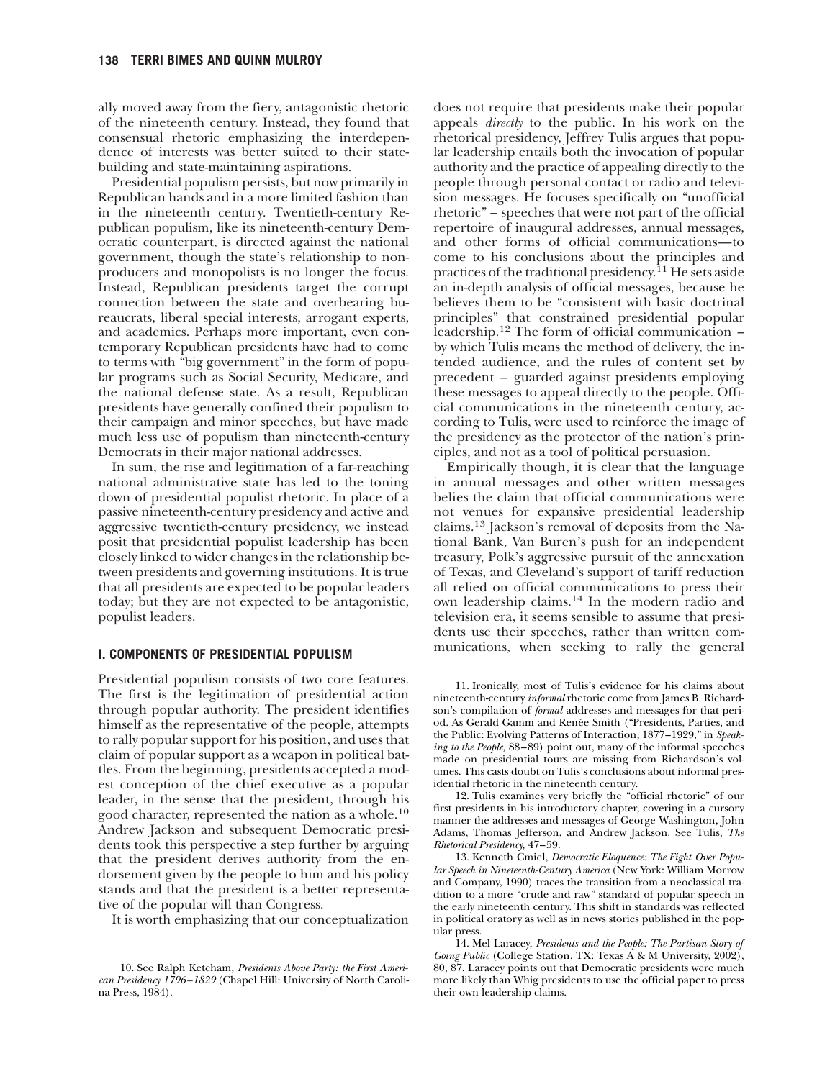ally moved away from the fiery, antagonistic rhetoric of the nineteenth century. Instead, they found that consensual rhetoric emphasizing the interdependence of interests was better suited to their statebuilding and state-maintaining aspirations.

Presidential populism persists, but now primarily in Republican hands and in a more limited fashion than in the nineteenth century. Twentieth-century Republican populism, like its nineteenth-century Democratic counterpart, is directed against the national government, though the state's relationship to nonproducers and monopolists is no longer the focus. Instead, Republican presidents target the corrupt connection between the state and overbearing bureaucrats, liberal special interests, arrogant experts, and academics. Perhaps more important, even contemporary Republican presidents have had to come to terms with "big government" in the form of popular programs such as Social Security, Medicare, and the national defense state. As a result, Republican presidents have generally confined their populism to their campaign and minor speeches, but have made much less use of populism than nineteenth-century Democrats in their major national addresses.

In sum, the rise and legitimation of a far-reaching national administrative state has led to the toning down of presidential populist rhetoric. In place of a passive nineteenth-century presidency and active and aggressive twentieth-century presidency, we instead posit that presidential populist leadership has been closely linked to wider changes in the relationship between presidents and governing institutions. It is true that all presidents are expected to be popular leaders today; but they are not expected to be antagonistic, populist leaders.

#### **I. COMPONENTS OF PRESIDENTIAL POPULISM**

Presidential populism consists of two core features. The first is the legitimation of presidential action through popular authority. The president identifies himself as the representative of the people, attempts to rally popular support for his position, and uses that claim of popular support as a weapon in political battles. From the beginning, presidents accepted a modest conception of the chief executive as a popular leader, in the sense that the president, through his good character, represented the nation as a whole.10 Andrew Jackson and subsequent Democratic presidents took this perspective a step further by arguing that the president derives authority from the endorsement given by the people to him and his policy stands and that the president is a better representative of the popular will than Congress.

It is worth emphasizing that our conceptualization

does not require that presidents make their popular appeals *directly* to the public. In his work on the rhetorical presidency, Jeffrey Tulis argues that popular leadership entails both the invocation of popular authority and the practice of appealing directly to the people through personal contact or radio and television messages. He focuses specifically on "unofficial rhetoric" – speeches that were not part of the official repertoire of inaugural addresses, annual messages, and other forms of official communications—to come to his conclusions about the principles and practices of the traditional presidency.11 He sets aside an in-depth analysis of official messages, because he believes them to be "consistent with basic doctrinal principles" that constrained presidential popular leadership.<sup>12</sup> The form of official communication  $$ by which Tulis means the method of delivery, the intended audience, and the rules of content set by precedent – guarded against presidents employing these messages to appeal directly to the people. Official communications in the nineteenth century, according to Tulis, were used to reinforce the image of the presidency as the protector of the nation's principles, and not as a tool of political persuasion.

Empirically though, it is clear that the language in annual messages and other written messages belies the claim that official communications were not venues for expansive presidential leadership claims.<sup>13</sup> Jackson's removal of deposits from the National Bank, Van Buren's push for an independent treasury, Polk's aggressive pursuit of the annexation of Texas, and Cleveland's support of tariff reduction all relied on official communications to press their own leadership claims.14 In the modern radio and television era, it seems sensible to assume that presidents use their speeches, rather than written communications, when seeking to rally the general

11. Ironically, most of Tulis's evidence for his claims about nineteenth-century *informal* rhetoric come from James B. Richardson's compilation of *formal* addresses and messages for that period. As Gerald Gamm and Renée Smith ("Presidents, Parties, and the Public: Evolving Patterns of Interaction, 1877–1929," in *Speaking to the People,* 88–89) point out, many of the informal speeches made on presidential tours are missing from Richardson's volumes. This casts doubt on Tulis's conclusions about informal presidential rhetoric in the nineteenth century.

12. Tulis examines very briefly the "official rhetoric" of our first presidents in his introductory chapter, covering in a cursory manner the addresses and messages of George Washington, John Adams, Thomas Jefferson, and Andrew Jackson. See Tulis, *The Rhetorical Presidency,* 47–59.

13. Kenneth Cmiel, *Democratic Eloquence: The Fight Over Popular Speech in Nineteenth-Century America* (New York: William Morrow and Company, 1990) traces the transition from a neoclassical tradition to a more "crude and raw" standard of popular speech in the early nineteenth century. This shift in standards was reflected in political oratory as well as in news stories published in the popular press.

14. Mel Laracey, *Presidents and the People: The Partisan Story of Going Public* (College Station, TX: Texas A & M University, 2002), 80, 87. Laracey points out that Democratic presidents were much more likely than Whig presidents to use the official paper to press their own leadership claims.

<sup>10.</sup> See Ralph Ketcham, *Presidents Above Party: the First American Presidency 1796–1829* (Chapel Hill: University of North Carolina Press, 1984).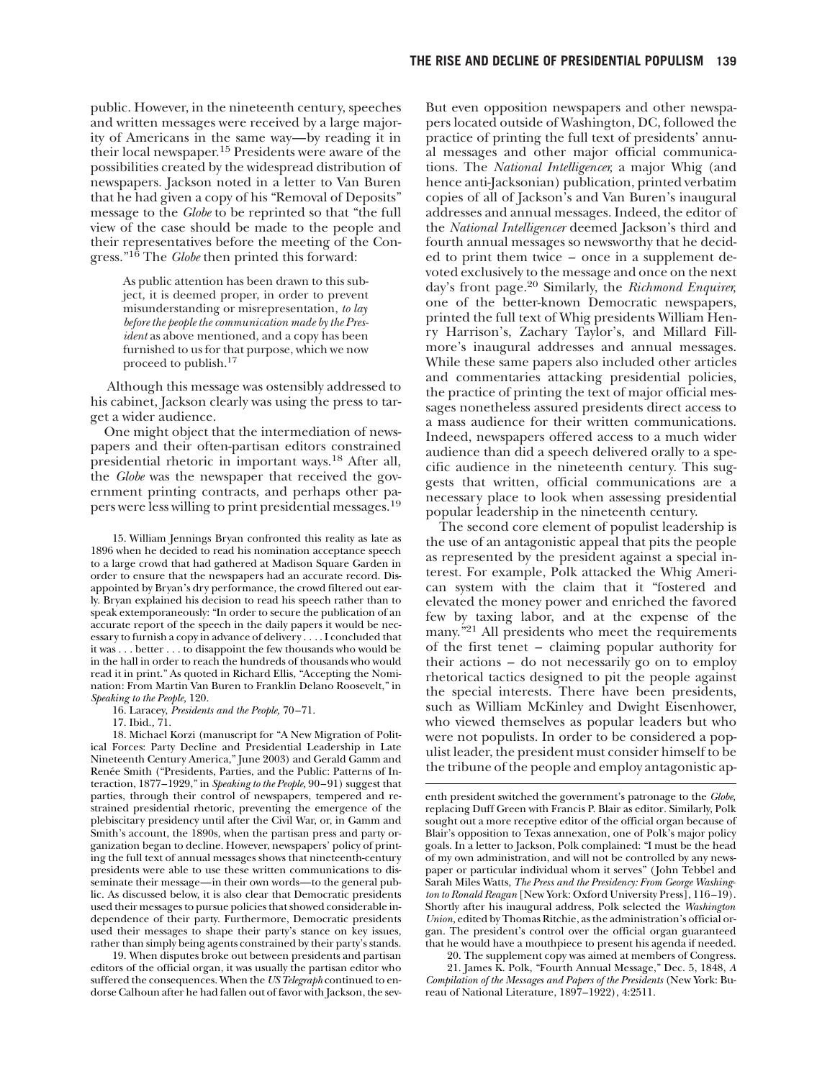public. However, in the nineteenth century, speeches and written messages were received by a large majority of Americans in the same way—by reading it in their local newspaper.15 Presidents were aware of the possibilities created by the widespread distribution of newspapers. Jackson noted in a letter to Van Buren that he had given a copy of his "Removal of Deposits" message to the *Globe* to be reprinted so that "the full view of the case should be made to the people and their representatives before the meeting of the Congress."16 The *Globe* then printed this forward:

> As public attention has been drawn to this subject, it is deemed proper, in order to prevent misunderstanding or misrepresentation, *to lay before the people the communication made by the President* as above mentioned, and a copy has been furnished to us for that purpose, which we now proceed to publish.17

Although this message was ostensibly addressed to his cabinet, Jackson clearly was using the press to target a wider audience.

One might object that the intermediation of newspapers and their often-partisan editors constrained presidential rhetoric in important ways.18 After all, the *Globe* was the newspaper that received the government printing contracts, and perhaps other papers were less willing to print presidential messages.<sup>19</sup>

15. William Jennings Bryan confronted this reality as late as 1896 when he decided to read his nomination acceptance speech to a large crowd that had gathered at Madison Square Garden in order to ensure that the newspapers had an accurate record. Disappointed by Bryan's dry performance, the crowd filtered out early. Bryan explained his decision to read his speech rather than to speak extemporaneously: "In order to secure the publication of an accurate report of the speech in the daily papers it would be necessary to furnish a copy in advance of delivery . . . . I concluded that it was . . . better . . . to disappoint the few thousands who would be in the hall in order to reach the hundreds of thousands who would read it in print." As quoted in Richard Ellis, "Accepting the Nomination: From Martin Van Buren to Franklin Delano Roosevelt," in *Speaking to the People,* 120.

16. Laracey, *Presidents and the People,* 70–71.

17. Ibid.*,* 71.

18. Michael Korzi (manuscript for "A New Migration of Political Forces: Party Decline and Presidential Leadership in Late Nineteenth Century America," June 2003) and Gerald Gamm and Renée Smith ("Presidents, Parties, and the Public: Patterns of Interaction, 1877–1929," in *Speaking to the People,* 90–91) suggest that parties, through their control of newspapers, tempered and restrained presidential rhetoric, preventing the emergence of the plebiscitary presidency until after the Civil War, or, in Gamm and Smith's account, the 1890s, when the partisan press and party organization began to decline. However, newspapers' policy of printing the full text of annual messages shows that nineteenth-century presidents were able to use these written communications to disseminate their message—in their own words—to the general public. As discussed below, it is also clear that Democratic presidents used their messages to pursue policies that showed considerable independence of their party. Furthermore, Democratic presidents used their messages to shape their party's stance on key issues, rather than simply being agents constrained by their party's stands.

19. When disputes broke out between presidents and partisan editors of the official organ, it was usually the partisan editor who suffered the consequences. When the *US Telegraph* continued to endorse Calhoun after he had fallen out of favor with Jackson, the sevBut even opposition newspapers and other newspapers located outside of Washington, DC, followed the practice of printing the full text of presidents' annual messages and other major official communications. The *National Intelligencer,* a major Whig (and hence anti-Jacksonian) publication, printed verbatim copies of all of Jackson's and Van Buren's inaugural addresses and annual messages. Indeed, the editor of the *National Intelligencer* deemed Jackson's third and fourth annual messages so newsworthy that he decided to print them twice – once in a supplement devoted exclusively to the message and once on the next day's front page.20 Similarly, the *Richmond Enquirer,* one of the better-known Democratic newspapers, printed the full text of Whig presidents William Henry Harrison's, Zachary Taylor's, and Millard Fillmore's inaugural addresses and annual messages. While these same papers also included other articles and commentaries attacking presidential policies, the practice of printing the text of major official messages nonetheless assured presidents direct access to a mass audience for their written communications. Indeed, newspapers offered access to a much wider audience than did a speech delivered orally to a specific audience in the nineteenth century. This suggests that written, official communications are a necessary place to look when assessing presidential popular leadership in the nineteenth century.

The second core element of populist leadership is the use of an antagonistic appeal that pits the people as represented by the president against a special interest. For example, Polk attacked the Whig American system with the claim that it "fostered and elevated the money power and enriched the favored few by taxing labor, and at the expense of the many."<sup>21</sup> All presidents who meet the requirements of the first tenet – claiming popular authority for their actions – do not necessarily go on to employ rhetorical tactics designed to pit the people against the special interests. There have been presidents, such as William McKinley and Dwight Eisenhower, who viewed themselves as popular leaders but who were not populists. In order to be considered a populist leader, the president must consider himself to be the tribune of the people and employ antagonistic ap-

20. The supplement copy was aimed at members of Congress.

21. James K. Polk, "Fourth Annual Message," Dec. 5, 1848, *A Compilation of the Messages and Papers of the Presidents* (New York: Bureau of National Literature, 1897–1922), 4:2511.

enth president switched the government's patronage to the *Globe,* replacing Duff Green with Francis P. Blair as editor*.* Similarly, Polk sought out a more receptive editor of the official organ because of Blair's opposition to Texas annexation, one of Polk's major policy goals. In a letter to Jackson, Polk complained: "I must be the head of my own administration, and will not be controlled by any newspaper or particular individual whom it serves" (John Tebbel and Sarah Miles Watts, *The Press and the Presidency: From George Washington to Ronald Reagan* [New York: Oxford University Press], 116–19). Shortly after his inaugural address, Polk selected the *Washington Union,* edited by Thomas Ritchie, as the administration's official organ. The president's control over the official organ guaranteed that he would have a mouthpiece to present his agenda if needed.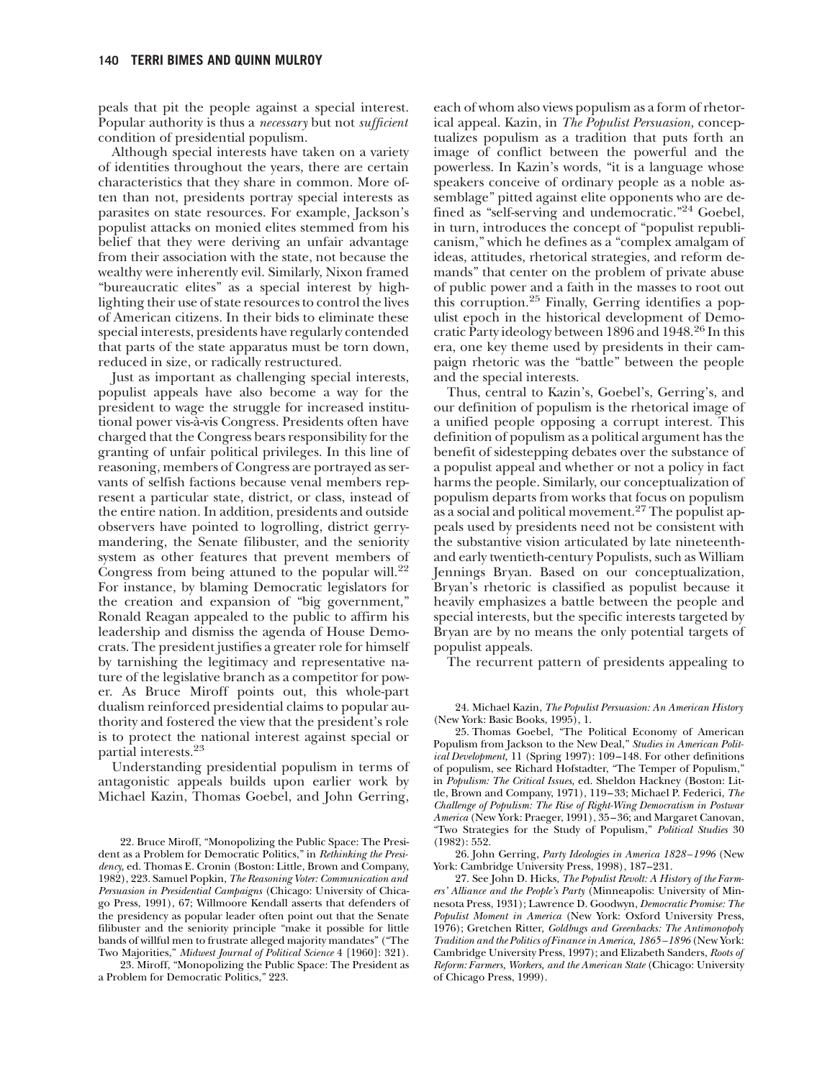peals that pit the people against a special interest. Popular authority is thus a *necessary* but not *sufficient* condition of presidential populism.

Although special interests have taken on a variety of identities throughout the years, there are certain characteristics that they share in common. More often than not, presidents portray special interests as parasites on state resources. For example, Jackson's populist attacks on monied elites stemmed from his belief that they were deriving an unfair advantage from their association with the state, not because the wealthy were inherently evil. Similarly, Nixon framed "bureaucratic elites" as a special interest by highlighting their use of state resources to control the lives of American citizens. In their bids to eliminate these special interests, presidents have regularly contended that parts of the state apparatus must be torn down, reduced in size, or radically restructured.

Just as important as challenging special interests, populist appeals have also become a way for the president to wage the struggle for increased institutional power vis-à-vis Congress. Presidents often have charged that the Congress bears responsibility for the granting of unfair political privileges. In this line of reasoning, members of Congress are portrayed as servants of selfish factions because venal members represent a particular state, district, or class, instead of the entire nation. In addition, presidents and outside observers have pointed to logrolling, district gerrymandering, the Senate filibuster, and the seniority system as other features that prevent members of Congress from being attuned to the popular will.<sup>22</sup> For instance, by blaming Democratic legislators for the creation and expansion of "big government," Ronald Reagan appealed to the public to affirm his leadership and dismiss the agenda of House Democrats. The president justifies a greater role for himself by tarnishing the legitimacy and representative nature of the legislative branch as a competitor for power. As Bruce Miroff points out, this whole-part dualism reinforced presidential claims to popular authority and fostered the view that the president's role is to protect the national interest against special or partial interests.23

Understanding presidential populism in terms of antagonistic appeals builds upon earlier work by Michael Kazin, Thomas Goebel, and John Gerring,

23. Miroff, "Monopolizing the Public Space: The President as a Problem for Democratic Politics," 223.

each of whom also views populism as a form of rhetorical appeal. Kazin, in *The Populist Persuasion,* conceptualizes populism as a tradition that puts forth an image of conflict between the powerful and the powerless. In Kazin's words, "it is a language whose speakers conceive of ordinary people as a noble assemblage" pitted against elite opponents who are defined as "self-serving and undemocratic."24 Goebel, in turn, introduces the concept of "populist republicanism," which he defines as a "complex amalgam of ideas, attitudes, rhetorical strategies, and reform demands" that center on the problem of private abuse of public power and a faith in the masses to root out this corruption.25 Finally, Gerring identifies a populist epoch in the historical development of Democratic Party ideology between 1896 and 1948.<sup>26</sup> In this era, one key theme used by presidents in their campaign rhetoric was the "battle" between the people and the special interests.

Thus, central to Kazin's, Goebel's, Gerring's, and our definition of populism is the rhetorical image of a unified people opposing a corrupt interest. This definition of populism as a political argument has the benefit of sidestepping debates over the substance of a populist appeal and whether or not a policy in fact harms the people. Similarly, our conceptualization of populism departs from works that focus on populism as a social and political movement.<sup>27</sup> The populist appeals used by presidents need not be consistent with the substantive vision articulated by late nineteenthand early twentieth-century Populists, such as William Jennings Bryan. Based on our conceptualization, Bryan's rhetoric is classified as populist because it heavily emphasizes a battle between the people and special interests, but the specific interests targeted by Bryan are by no means the only potential targets of populist appeals.

The recurrent pattern of presidents appealing to

24. Michael Kazin, *The Populist Persuasion: An American History* (New York: Basic Books, 1995), 1.

25. Thomas Goebel, "The Political Economy of American Populism from Jackson to the New Deal," *Studies in American Political Development,* 11 (Spring 1997): 109–148. For other definitions of populism, see Richard Hofstadter, "The Temper of Populism," in *Populism: The Critical Issues,* ed. Sheldon Hackney (Boston: Little, Brown and Company, 1971), 119–33; Michael P. Federici, *The Challenge of Populism: The Rise of Right-Wing Democratism in Postwar America* (New York: Praeger, 1991), 35–36; and Margaret Canovan, "Two Strategies for the Study of Populism," *Political Studies* 30 (1982): 552.

26. John Gerring, *Party Ideologies in America 1828–1996* (New York: Cambridge University Press, 1998), 187–231.

27. See John D. Hicks, *The Populist Revolt: A History of the Farmers' Alliance and the People's Party* (Minneapolis: University of Minnesota Press, 1931); Lawrence D. Goodwyn, *Democratic Promise: The Populist Moment in America* (New York: Oxford University Press, 1976); Gretchen Ritter, *Goldbugs and Greenbacks: The Antimonopoly Tradition and the Politics of Finance in America, 1865–1896* (New York: Cambridge University Press, 1997); and Elizabeth Sanders, *Roots of Reform: Farmers, Workers, and the American State* (Chicago: University of Chicago Press, 1999).

<sup>22.</sup> Bruce Miroff, "Monopolizing the Public Space: The President as a Problem for Democratic Politics," in *Rethinking the Presidency,* ed. Thomas E. Cronin (Boston: Little, Brown and Company, 1982), 223. Samuel Popkin, *The Reasoning Voter: Communication and Persuasion in Presidential Campaigns* (Chicago: University of Chicago Press, 1991), 67; Willmoore Kendall asserts that defenders of the presidency as popular leader often point out that the Senate filibuster and the seniority principle "make it possible for little bands of willful men to frustrate alleged majority mandates" ("The Two Majorities," *Midwest Journal of Political Science* 4 [1960]: 321).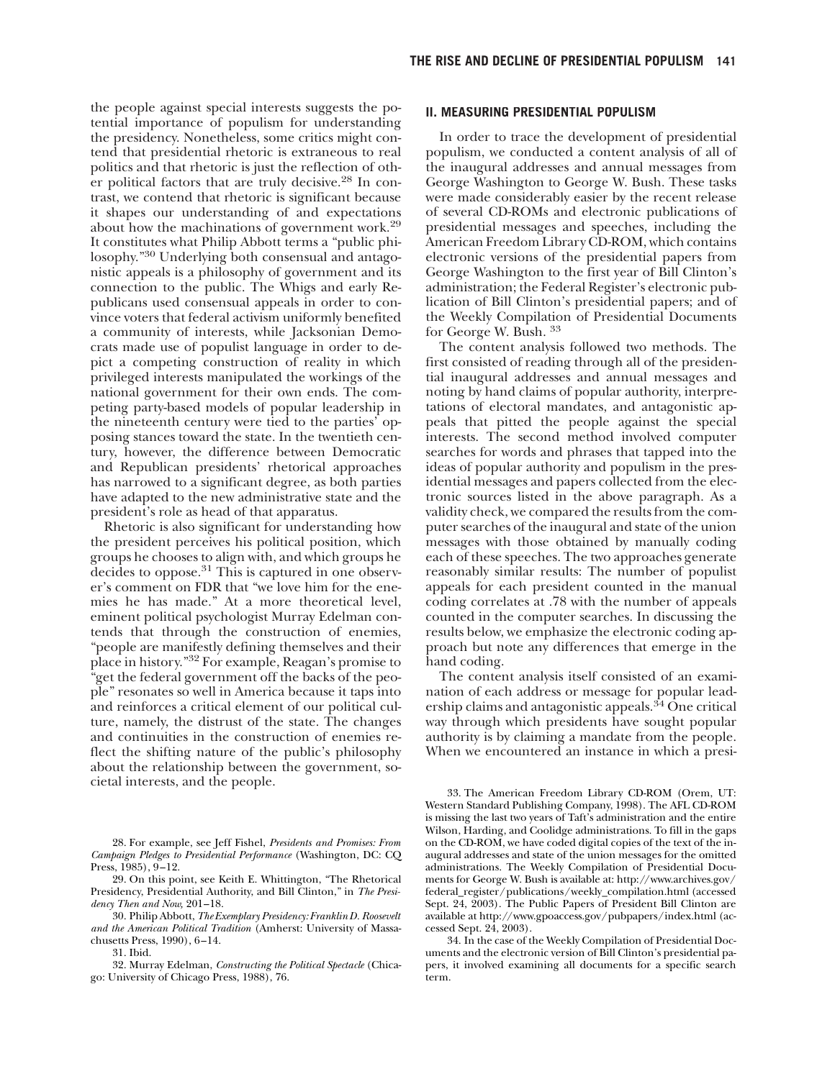the people against special interests suggests the potential importance of populism for understanding the presidency. Nonetheless, some critics might contend that presidential rhetoric is extraneous to real politics and that rhetoric is just the reflection of other political factors that are truly decisive.28 In contrast, we contend that rhetoric is significant because it shapes our understanding of and expectations about how the machinations of government work.<sup>29</sup> It constitutes what Philip Abbott terms a "public philosophy."30 Underlying both consensual and antagonistic appeals is a philosophy of government and its connection to the public. The Whigs and early Republicans used consensual appeals in order to convince voters that federal activism uniformly benefited a community of interests, while Jacksonian Democrats made use of populist language in order to depict a competing construction of reality in which privileged interests manipulated the workings of the national government for their own ends. The competing party-based models of popular leadership in the nineteenth century were tied to the parties' opposing stances toward the state. In the twentieth century, however, the difference between Democratic and Republican presidents' rhetorical approaches has narrowed to a significant degree, as both parties have adapted to the new administrative state and the president's role as head of that apparatus.

Rhetoric is also significant for understanding how the president perceives his political position, which groups he chooses to align with, and which groups he decides to oppose.<sup>31</sup> This is captured in one observer's comment on FDR that "we love him for the enemies he has made." At a more theoretical level, eminent political psychologist Murray Edelman contends that through the construction of enemies, "people are manifestly defining themselves and their place in history."<sup>32</sup> For example, Reagan's promise to "get the federal government off the backs of the people" resonates so well in America because it taps into and reinforces a critical element of our political culture, namely, the distrust of the state. The changes and continuities in the construction of enemies reflect the shifting nature of the public's philosophy about the relationship between the government, societal interests, and the people.

#### **II. MEASURING PRESIDENTIAL POPULISM**

In order to trace the development of presidential populism, we conducted a content analysis of all of the inaugural addresses and annual messages from George Washington to George W. Bush. These tasks were made considerably easier by the recent release of several CD-ROMs and electronic publications of presidential messages and speeches, including the American Freedom Library CD-ROM, which contains electronic versions of the presidential papers from George Washington to the first year of Bill Clinton's administration; the Federal Register's electronic publication of Bill Clinton's presidential papers; and of the Weekly Compilation of Presidential Documents for George W. Bush. <sup>33</sup>

The content analysis followed two methods. The first consisted of reading through all of the presidential inaugural addresses and annual messages and noting by hand claims of popular authority, interpretations of electoral mandates, and antagonistic appeals that pitted the people against the special interests. The second method involved computer searches for words and phrases that tapped into the ideas of popular authority and populism in the presidential messages and papers collected from the electronic sources listed in the above paragraph. As a validity check, we compared the results from the computer searches of the inaugural and state of the union messages with those obtained by manually coding each of these speeches. The two approaches generate reasonably similar results: The number of populist appeals for each president counted in the manual coding correlates at .78 with the number of appeals counted in the computer searches. In discussing the results below, we emphasize the electronic coding approach but note any differences that emerge in the hand coding.

The content analysis itself consisted of an examination of each address or message for popular leadership claims and antagonistic appeals.<sup>34</sup> One critical way through which presidents have sought popular authority is by claiming a mandate from the people. When we encountered an instance in which a presi-

33. The American Freedom Library CD-ROM (Orem, UT: Western Standard Publishing Company, 1998). The AFL CD-ROM is missing the last two years of Taft's administration and the entire Wilson, Harding, and Coolidge administrations. To fill in the gaps on the CD-ROM, we have coded digital copies of the text of the inaugural addresses and state of the union messages for the omitted administrations. The Weekly Compilation of Presidential Documents for George W. Bush is available at: http://www.archives.gov/ federal\_register/publications/weekly\_compilation.html (accessed Sept. 24, 2003). The Public Papers of President Bill Clinton are available at http://www.gpoaccess.gov/pubpapers/index.html (accessed Sept. 24, 2003).

34. In the case of the Weekly Compilation of Presidential Documents and the electronic version of Bill Clinton's presidential papers, it involved examining all documents for a specific search term.

<sup>28.</sup> For example, see Jeff Fishel, *Presidents and Promises: From Campaign Pledges to Presidential Performance* (Washington, DC: CQ Press, 1985), 9–12.

<sup>29.</sup> On this point, see Keith E. Whittington, "The Rhetorical Presidency, Presidential Authority, and Bill Clinton," in *The Presidency Then and Now,* 201–18.

<sup>30.</sup> Philip Abbott, *The Exemplary Presidency: Franklin D. Roosevelt and the American Political Tradition* (Amherst: University of Massachusetts Press, 1990), 6–14.

<sup>31.</sup> Ibid.

<sup>32.</sup> Murray Edelman, *Constructing the Political Spectacle* (Chicago: University of Chicago Press, 1988), 76.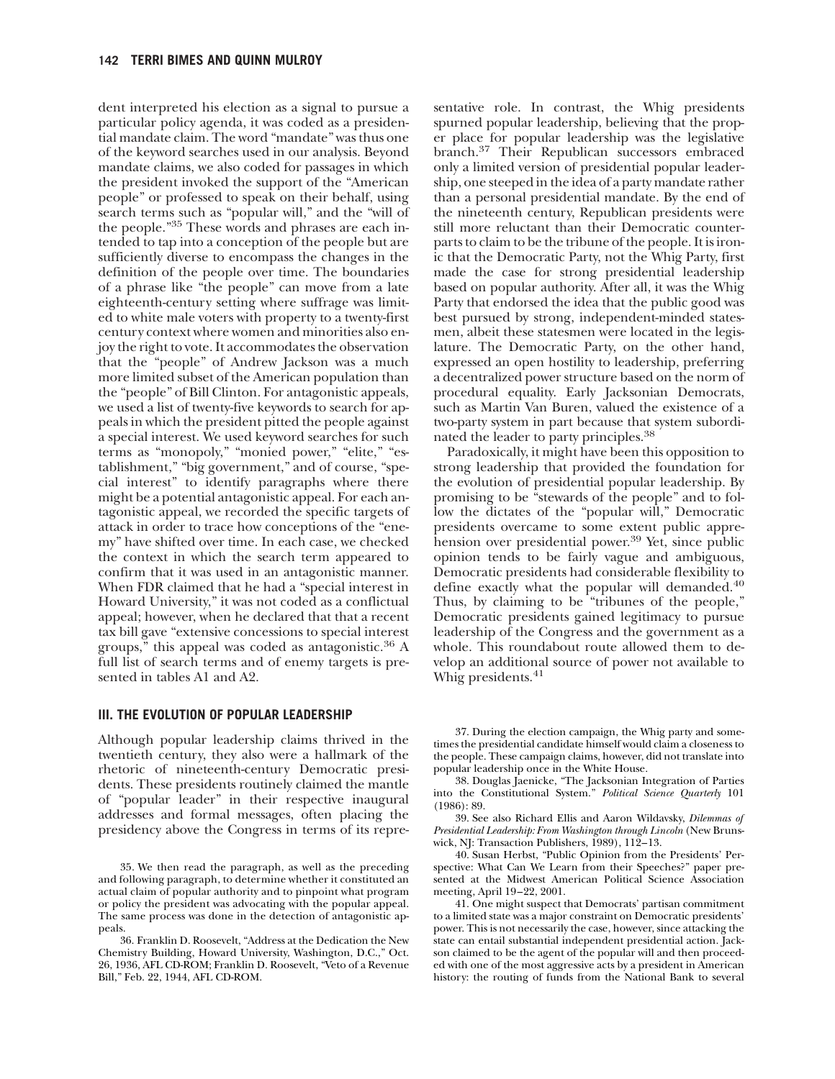dent interpreted his election as a signal to pursue a particular policy agenda, it was coded as a presidential mandate claim. The word "mandate" was thus one of the keyword searches used in our analysis. Beyond mandate claims, we also coded for passages in which the president invoked the support of the "American people" or professed to speak on their behalf, using search terms such as "popular will," and the "will of the people."35 These words and phrases are each intended to tap into a conception of the people but are sufficiently diverse to encompass the changes in the definition of the people over time. The boundaries of a phrase like "the people" can move from a late eighteenth-century setting where suffrage was limited to white male voters with property to a twenty-first century context where women and minorities also enjoy the right to vote. It accommodates the observation that the "people" of Andrew Jackson was a much more limited subset of the American population than the "people" of Bill Clinton. For antagonistic appeals, we used a list of twenty-five keywords to search for appeals in which the president pitted the people against a special interest. We used keyword searches for such terms as "monopoly," "monied power," "elite," "establishment," "big government," and of course, "special interest" to identify paragraphs where there might be a potential antagonistic appeal. For each antagonistic appeal, we recorded the specific targets of attack in order to trace how conceptions of the "enemy" have shifted over time. In each case, we checked the context in which the search term appeared to confirm that it was used in an antagonistic manner. When FDR claimed that he had a "special interest in Howard University," it was not coded as a conflictual appeal; however, when he declared that that a recent tax bill gave "extensive concessions to special interest groups," this appeal was coded as antagonistic.36 A full list of search terms and of enemy targets is presented in tables A1 and A2.

sentative role. In contrast, the Whig presidents spurned popular leadership, believing that the proper place for popular leadership was the legislative branch.37 Their Republican successors embraced only a limited version of presidential popular leadership, one steeped in the idea of a party mandate rather than a personal presidential mandate. By the end of the nineteenth century, Republican presidents were still more reluctant than their Democratic counterparts to claim to be the tribune of the people. It is ironic that the Democratic Party, not the Whig Party, first made the case for strong presidential leadership based on popular authority. After all, it was the Whig Party that endorsed the idea that the public good was best pursued by strong, independent-minded statesmen, albeit these statesmen were located in the legislature. The Democratic Party, on the other hand, expressed an open hostility to leadership, preferring a decentralized power structure based on the norm of procedural equality. Early Jacksonian Democrats, such as Martin Van Buren, valued the existence of a two-party system in part because that system subordinated the leader to party principles.38

Paradoxically, it might have been this opposition to strong leadership that provided the foundation for the evolution of presidential popular leadership. By promising to be "stewards of the people" and to follow the dictates of the "popular will," Democratic presidents overcame to some extent public apprehension over presidential power.<sup>39</sup> Yet, since public opinion tends to be fairly vague and ambiguous, Democratic presidents had considerable flexibility to define exactly what the popular will demanded.<sup>40</sup> Thus, by claiming to be "tribunes of the people," Democratic presidents gained legitimacy to pursue leadership of the Congress and the government as a whole. This roundabout route allowed them to develop an additional source of power not available to Whig presidents.<sup>41</sup>

#### **III. THE EVOLUTION OF POPULAR LEADERSHIP**

Although popular leadership claims thrived in the twentieth century, they also were a hallmark of the rhetoric of nineteenth-century Democratic presidents. These presidents routinely claimed the mantle of "popular leader" in their respective inaugural addresses and formal messages, often placing the presidency above the Congress in terms of its repre-

37. During the election campaign, the Whig party and sometimes the presidential candidate himself would claim a closeness to the people. These campaign claims, however, did not translate into popular leadership once in the White House.

38. Douglas Jaenicke, "The Jacksonian Integration of Parties into the Constitutional System." *Political Science Quarterly* 101 (1986): 89.

39. See also Richard Ellis and Aaron Wildavsky, *Dilemmas of Presidential Leadership: From Washington through Lincoln* (New Brunswick, NJ: Transaction Publishers, 1989), 112–13.

40. Susan Herbst, "Public Opinion from the Presidents' Perspective: What Can We Learn from their Speeches?" paper presented at the Midwest American Political Science Association meeting, April 19–22, 2001.

41. One might suspect that Democrats' partisan commitment to a limited state was a major constraint on Democratic presidents' power. This is not necessarily the case, however, since attacking the state can entail substantial independent presidential action. Jackson claimed to be the agent of the popular will and then proceeded with one of the most aggressive acts by a president in American history: the routing of funds from the National Bank to several

<sup>35.</sup> We then read the paragraph, as well as the preceding and following paragraph, to determine whether it constituted an actual claim of popular authority and to pinpoint what program or policy the president was advocating with the popular appeal. The same process was done in the detection of antagonistic appeals.

<sup>36.</sup> Franklin D. Roosevelt, "Address at the Dedication the New Chemistry Building, Howard University, Washington, D.C.," Oct. 26, 1936, AFL CD-ROM; Franklin D. Roosevelt, "Veto of a Revenue Bill," Feb. 22, 1944, AFL CD-ROM.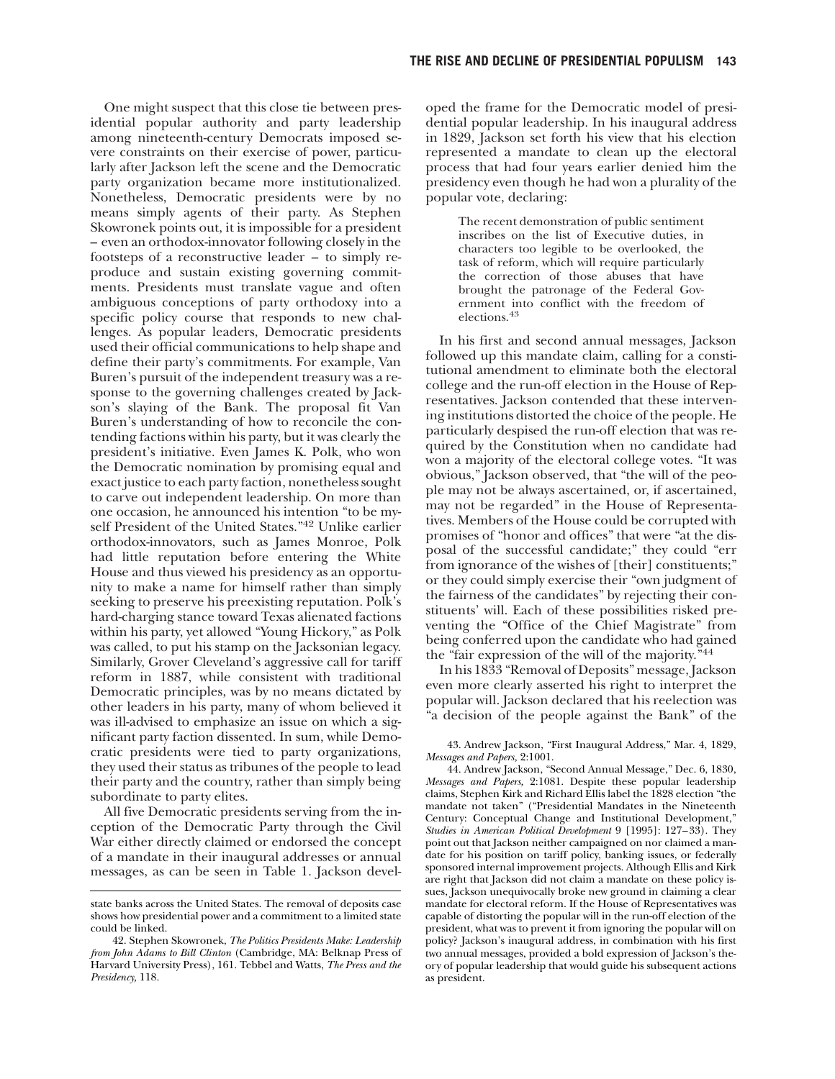One might suspect that this close tie between presidential popular authority and party leadership among nineteenth-century Democrats imposed severe constraints on their exercise of power, particularly after Jackson left the scene and the Democratic party organization became more institutionalized. Nonetheless, Democratic presidents were by no means simply agents of their party. As Stephen Skowronek points out, it is impossible for a president – even an orthodox-innovator following closely in the footsteps of a reconstructive leader – to simply reproduce and sustain existing governing commitments. Presidents must translate vague and often ambiguous conceptions of party orthodoxy into a specific policy course that responds to new challenges. As popular leaders, Democratic presidents used their official communications to help shape and define their party's commitments. For example, Van Buren's pursuit of the independent treasury was a response to the governing challenges created by Jackson's slaying of the Bank. The proposal fit Van Buren's understanding of how to reconcile the contending factions within his party, but it was clearly the president's initiative. Even James K. Polk, who won the Democratic nomination by promising equal and exact justice to each party faction, nonetheless sought to carve out independent leadership. On more than one occasion, he announced his intention "to be myself President of the United States."<sup>42</sup> Unlike earlier orthodox-innovators, such as James Monroe, Polk had little reputation before entering the White House and thus viewed his presidency as an opportunity to make a name for himself rather than simply seeking to preserve his preexisting reputation. Polk's hard-charging stance toward Texas alienated factions within his party, yet allowed "Young Hickory," as Polk was called, to put his stamp on the Jacksonian legacy. Similarly, Grover Cleveland's aggressive call for tariff reform in 1887, while consistent with traditional Democratic principles, was by no means dictated by other leaders in his party, many of whom believed it was ill-advised to emphasize an issue on which a significant party faction dissented. In sum, while Democratic presidents were tied to party organizations, they used their status as tribunes of the people to lead their party and the country, rather than simply being subordinate to party elites.

All five Democratic presidents serving from the inception of the Democratic Party through the Civil War either directly claimed or endorsed the concept of a mandate in their inaugural addresses or annual messages, as can be seen in Table 1. Jackson developed the frame for the Democratic model of presidential popular leadership. In his inaugural address in 1829, Jackson set forth his view that his election represented a mandate to clean up the electoral process that had four years earlier denied him the presidency even though he had won a plurality of the popular vote, declaring:

> The recent demonstration of public sentiment inscribes on the list of Executive duties, in characters too legible to be overlooked, the task of reform, which will require particularly the correction of those abuses that have brought the patronage of the Federal Government into conflict with the freedom of elections.43

In his first and second annual messages, Jackson followed up this mandate claim, calling for a constitutional amendment to eliminate both the electoral college and the run-off election in the House of Representatives. Jackson contended that these intervening institutions distorted the choice of the people. He particularly despised the run-off election that was required by the Constitution when no candidate had won a majority of the electoral college votes. "It was obvious," Jackson observed, that "the will of the people may not be always ascertained, or, if ascertained, may not be regarded" in the House of Representatives. Members of the House could be corrupted with promises of "honor and offices" that were "at the disposal of the successful candidate;" they could "err from ignorance of the wishes of [their] constituents;" or they could simply exercise their "own judgment of the fairness of the candidates" by rejecting their constituents' will. Each of these possibilities risked preventing the "Office of the Chief Magistrate" from being conferred upon the candidate who had gained the "fair expression of the will of the majority."44

In his 1833 "Removal of Deposits" message, Jackson even more clearly asserted his right to interpret the popular will. Jackson declared that his reelection was "a decision of the people against the Bank" of the

43. Andrew Jackson, "First Inaugural Address," Mar. 4, 1829, *Messages and Papers,* 2:1001.

44. Andrew Jackson, "Second Annual Message," Dec. 6, 1830, *Messages and Papers,* 2:1081. Despite these popular leadership claims, Stephen Kirk and Richard Ellis label the 1828 election "the mandate not taken" ("Presidential Mandates in the Nineteenth Century: Conceptual Change and Institutional Development," *Studies in American Political Development* 9 [1995]: 127–33). They point out that Jackson neither campaigned on nor claimed a mandate for his position on tariff policy, banking issues, or federally sponsored internal improvement projects. Although Ellis and Kirk are right that Jackson did not claim a mandate on these policy issues, Jackson unequivocally broke new ground in claiming a clear mandate for electoral reform. If the House of Representatives was capable of distorting the popular will in the run-off election of the president, what was to prevent it from ignoring the popular will on policy? Jackson's inaugural address, in combination with his first two annual messages, provided a bold expression of Jackson's theory of popular leadership that would guide his subsequent actions as president.

state banks across the United States. The removal of deposits case shows how presidential power and a commitment to a limited state could be linked.

<sup>42.</sup> Stephen Skowronek, *The Politics Presidents Make: Leadership from John Adams to Bill Clinton* (Cambridge, MA: Belknap Press of Harvard University Press), 161. Tebbel and Watts, *The Press and the Presidency,* 118.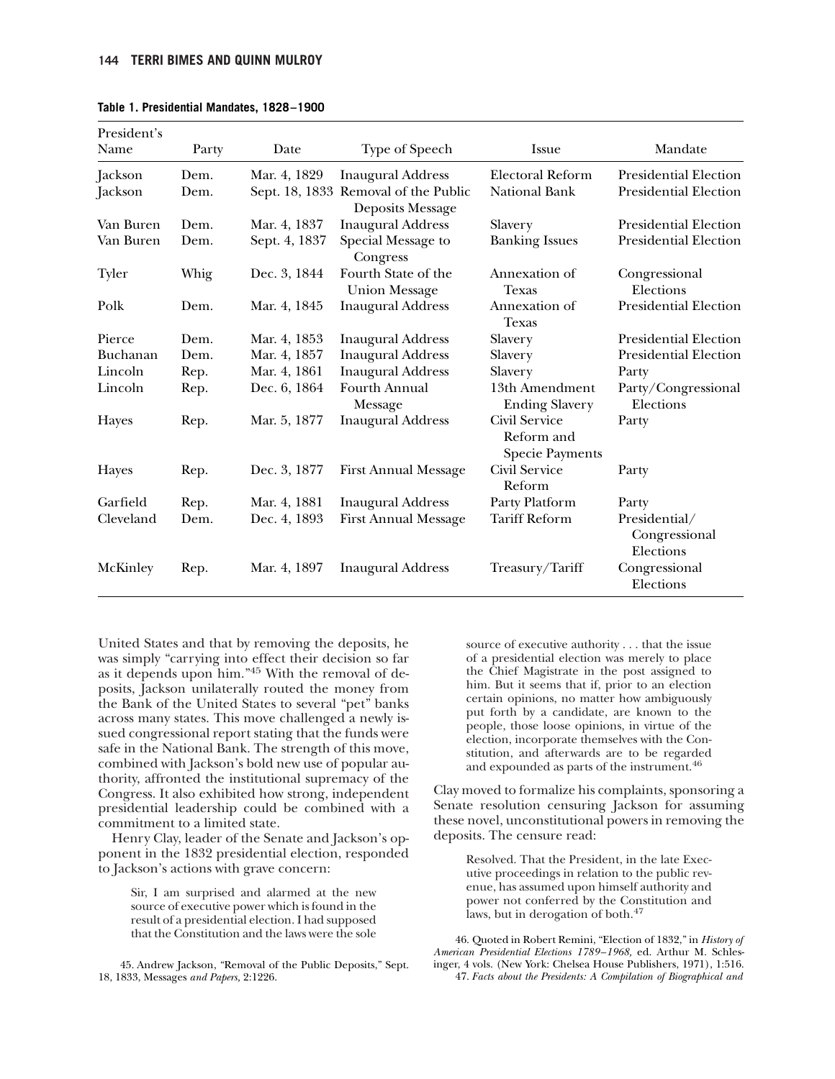| President's |       |               |                                                          |                                                       |                                             |
|-------------|-------|---------------|----------------------------------------------------------|-------------------------------------------------------|---------------------------------------------|
| Name        | Party | Date          | Type of Speech                                           | Issue                                                 | Mandate                                     |
| Jackson     | Dem.  | Mar. 4, 1829  | <b>Inaugural Address</b>                                 | <b>Electoral Reform</b>                               | <b>Presidential Election</b>                |
| Jackson     | Dem.  |               | Sept. 18, 1833 Removal of the Public<br>Deposits Message | National Bank                                         | <b>Presidential Election</b>                |
| Van Buren   | Dem.  | Mar. 4, 1837  | <b>Inaugural Address</b>                                 | Slavery                                               | <b>Presidential Election</b>                |
| Van Buren   | Dem.  | Sept. 4, 1837 | Special Message to<br>Congress                           | <b>Banking Issues</b>                                 | <b>Presidential Election</b>                |
| Tyler       | Whig  | Dec. 3, 1844  | Fourth State of the<br><b>Union Message</b>              | Annexation of<br><b>Texas</b>                         | Congressional<br>Elections                  |
| Polk        | Dem.  | Mar. 4, 1845  | <b>Inaugural Address</b>                                 | Annexation of<br><b>Texas</b>                         | <b>Presidential Election</b>                |
| Pierce      | Dem.  | Mar. 4, 1853  | <b>Inaugural Address</b>                                 | Slavery                                               | <b>Presidential Election</b>                |
| Buchanan    | Dem.  | Mar. 4, 1857  | <b>Inaugural Address</b>                                 | Slavery                                               | <b>Presidential Election</b>                |
| Lincoln     | Rep.  | Mar. 4, 1861  | <b>Inaugural Address</b>                                 | Slavery                                               | Party                                       |
| Lincoln     | Rep.  | Dec. 6, 1864  | <b>Fourth Annual</b><br>Message                          | 13th Amendment<br><b>Ending Slavery</b>               | Party/Congressional<br>Elections            |
| Hayes       | Rep.  | Mar. 5, 1877  | <b>Inaugural Address</b>                                 | Civil Service<br>Reform and<br><b>Specie Payments</b> | Party                                       |
| Hayes       | Rep.  | Dec. 3, 1877  | <b>First Annual Message</b>                              | Civil Service<br>Reform                               | Party                                       |
| Garfield    | Rep.  | Mar. 4, 1881  | <b>Inaugural Address</b>                                 | Party Platform                                        | Party                                       |
| Cleveland   | Dem.  | Dec. 4, 1893  | <b>First Annual Message</b>                              | <b>Tariff Reform</b>                                  | Presidential/<br>Congressional<br>Elections |
| McKinley    | Rep.  | Mar. 4, 1897  | <b>Inaugural Address</b>                                 | Treasury/Tariff                                       | Congressional<br>Elections                  |

|  |  | Table 1. Presidential Mandates, 1828-1900 |  |  |
|--|--|-------------------------------------------|--|--|
|--|--|-------------------------------------------|--|--|

United States and that by removing the deposits, he was simply "carrying into effect their decision so far as it depends upon him."<sup>45</sup> With the removal of deposits, Jackson unilaterally routed the money from the Bank of the United States to several "pet" banks across many states. This move challenged a newly issued congressional report stating that the funds were safe in the National Bank. The strength of this move, combined with Jackson's bold new use of popular authority, affronted the institutional supremacy of the Congress. It also exhibited how strong, independent presidential leadership could be combined with a commitment to a limited state.

Henry Clay, leader of the Senate and Jackson's opponent in the 1832 presidential election, responded to Jackson's actions with grave concern:

> Sir, I am surprised and alarmed at the new source of executive power which is found in the result of a presidential election. I had supposed that the Constitution and the laws were the sole

45. Andrew Jackson, "Removal of the Public Deposits," Sept. 18, 1833, Messages *and Papers,* 2:1226.

source of executive authority . . . that the issue of a presidential election was merely to place the Chief Magistrate in the post assigned to him. But it seems that if, prior to an election certain opinions, no matter how ambiguously put forth by a candidate, are known to the people, those loose opinions, in virtue of the election, incorporate themselves with the Constitution, and afterwards are to be regarded and expounded as parts of the instrument.<sup>46</sup>

Clay moved to formalize his complaints, sponsoring a Senate resolution censuring Jackson for assuming these novel, unconstitutional powers in removing the deposits. The censure read:

> Resolved. That the President, in the late Executive proceedings in relation to the public revenue, has assumed upon himself authority and power not conferred by the Constitution and laws, but in derogation of both.<sup>47</sup>

46. Quoted in Robert Remini, "Election of 1832," in *History of American Presidential Elections 1789–1968,* ed. Arthur M. Schlesinger, 4 vols. (New York: Chelsea House Publishers, 1971), 1:516. 47. *Facts about the Presidents: A Compilation of Biographical and*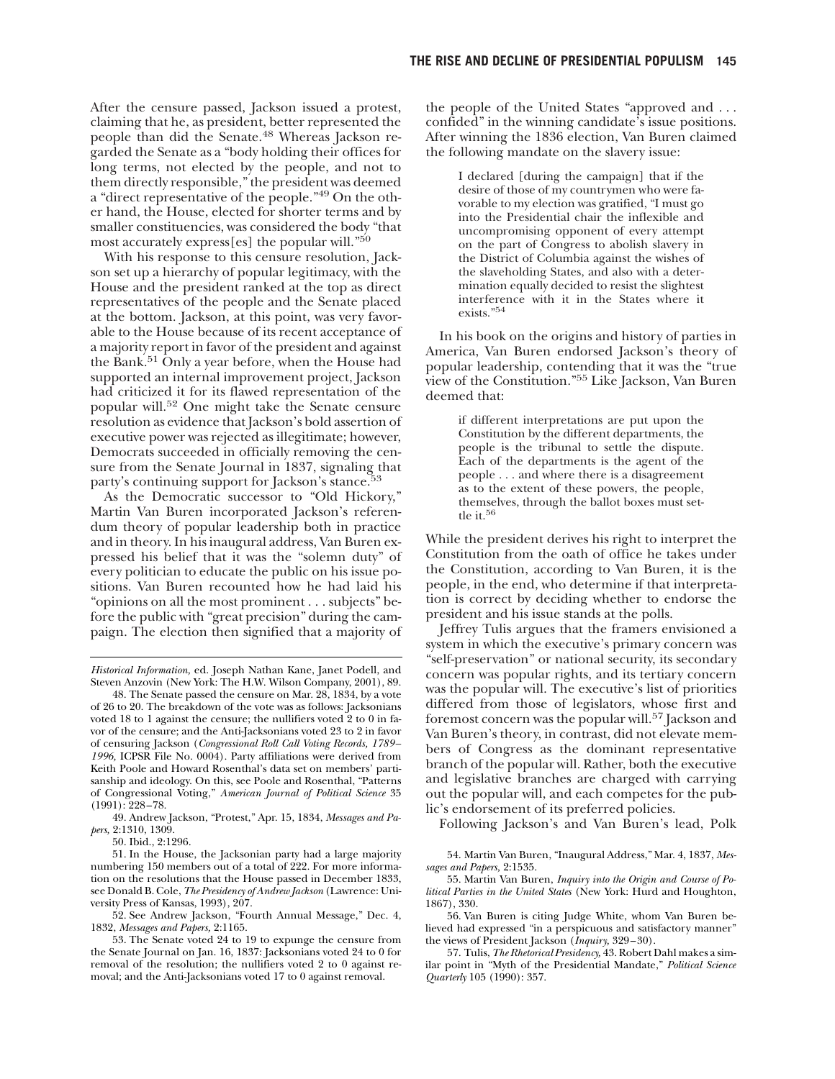After the censure passed, Jackson issued a protest, claiming that he, as president, better represented the people than did the Senate.48 Whereas Jackson regarded the Senate as a "body holding their offices for long terms, not elected by the people, and not to them directly responsible," the president was deemed a "direct representative of the people."49 On the other hand, the House, elected for shorter terms and by smaller constituencies, was considered the body "that most accurately express[es] the popular will."50

With his response to this censure resolution, Jackson set up a hierarchy of popular legitimacy, with the House and the president ranked at the top as direct representatives of the people and the Senate placed at the bottom. Jackson, at this point, was very favorable to the House because of its recent acceptance of a majority report in favor of the president and against the Bank.51 Only a year before, when the House had supported an internal improvement project, Jackson had criticized it for its flawed representation of the popular will.<sup>52</sup> One might take the Senate censure resolution as evidence that Jackson's bold assertion of executive power was rejected as illegitimate; however, Democrats succeeded in officially removing the censure from the Senate Journal in 1837, signaling that party's continuing support for Jackson's stance.<sup>53</sup>

As the Democratic successor to "Old Hickory," Martin Van Buren incorporated Jackson's referendum theory of popular leadership both in practice and in theory. In his inaugural address, Van Buren expressed his belief that it was the "solemn duty" of every politician to educate the public on his issue positions. Van Buren recounted how he had laid his "opinions on all the most prominent . . . subjects" before the public with "great precision" during the campaign. The election then signified that a majority of

49. Andrew Jackson, "Protest," Apr. 15, 1834, *Messages and Papers,* 2:1310, 1309.

50. Ibid., 2:1296.

51. In the House, the Jacksonian party had a large majority numbering 150 members out of a total of 222. For more information on the resolutions that the House passed in December 1833, see Donald B. Cole, *The Presidency of Andrew Jackson* (Lawrence: University Press of Kansas, 1993), 207.

52. See Andrew Jackson, "Fourth Annual Message," Dec. 4, 1832, *Messages and Papers,* 2:1165.

the people of the United States "approved and . . . confided" in the winning candidate's issue positions. After winning the 1836 election, Van Buren claimed the following mandate on the slavery issue:

> I declared [during the campaign] that if the desire of those of my countrymen who were favorable to my election was gratified, "I must go into the Presidential chair the inflexible and uncompromising opponent of every attempt on the part of Congress to abolish slavery in the District of Columbia against the wishes of the slaveholding States, and also with a determination equally decided to resist the slightest interference with it in the States where it exists."<sup>54</sup>

In his book on the origins and history of parties in America, Van Buren endorsed Jackson's theory of popular leadership, contending that it was the "true view of the Constitution."<sup>55</sup> Like Jackson, Van Buren deemed that:

> if different interpretations are put upon the Constitution by the different departments, the people is the tribunal to settle the dispute. Each of the departments is the agent of the people . . . and where there is a disagreement as to the extent of these powers, the people, themselves, through the ballot boxes must settle it.<sup>56</sup>

While the president derives his right to interpret the Constitution from the oath of office he takes under the Constitution, according to Van Buren, it is the people, in the end, who determine if that interpretation is correct by deciding whether to endorse the president and his issue stands at the polls.

Jeffrey Tulis argues that the framers envisioned a system in which the executive's primary concern was "self-preservation" or national security, its secondary concern was popular rights, and its tertiary concern was the popular will. The executive's list of priorities differed from those of legislators, whose first and foremost concern was the popular will.<sup>57</sup> Jackson and Van Buren's theory, in contrast, did not elevate members of Congress as the dominant representative branch of the popular will. Rather, both the executive and legislative branches are charged with carrying out the popular will, and each competes for the public's endorsement of its preferred policies.

Following Jackson's and Van Buren's lead, Polk

54. Martin Van Buren, "Inaugural Address," Mar. 4, 1837, *Messages and Papers,* 2:1535.

55. Martin Van Buren, *Inquiry into the Origin and Course of Political Parties in the United States* (New York: Hurd and Houghton, 1867), 330.

56. Van Buren is citing Judge White, whom Van Buren believed had expressed "in a perspicuous and satisfactory manner" the views of President Jackson (*Inquiry,* 329–30).

57. Tulis, *The Rhetorical Presidency,* 43. Robert Dahl makes a similar point in "Myth of the Presidential Mandate," *Political Science Quarterly* 105 (1990): 357.

*Historical Information,* ed. Joseph Nathan Kane, Janet Podell, and Steven Anzovin (New York: The H.W. Wilson Company, 2001), 89.

<sup>48.</sup> The Senate passed the censure on Mar. 28, 1834, by a vote of 26 to 20. The breakdown of the vote was as follows: Jacksonians voted 18 to 1 against the censure; the nullifiers voted 2 to 0 in favor of the censure; and the Anti-Jacksonians voted 23 to 2 in favor of censuring Jackson (*Congressional Roll Call Voting Records, 1789– 1996,* ICPSR File No. 0004). Party affiliations were derived from Keith Poole and Howard Rosenthal's data set on members' partisanship and ideology. On this, see Poole and Rosenthal, "Patterns of Congressional Voting," *American Journal of Political Science* 35 (1991): 228–78.

<sup>53.</sup> The Senate voted 24 to 19 to expunge the censure from the Senate Journal on Jan. 16, 1837: Jacksonians voted 24 to 0 for removal of the resolution; the nullifiers voted 2 to 0 against removal; and the Anti-Jacksonians voted 17 to 0 against removal.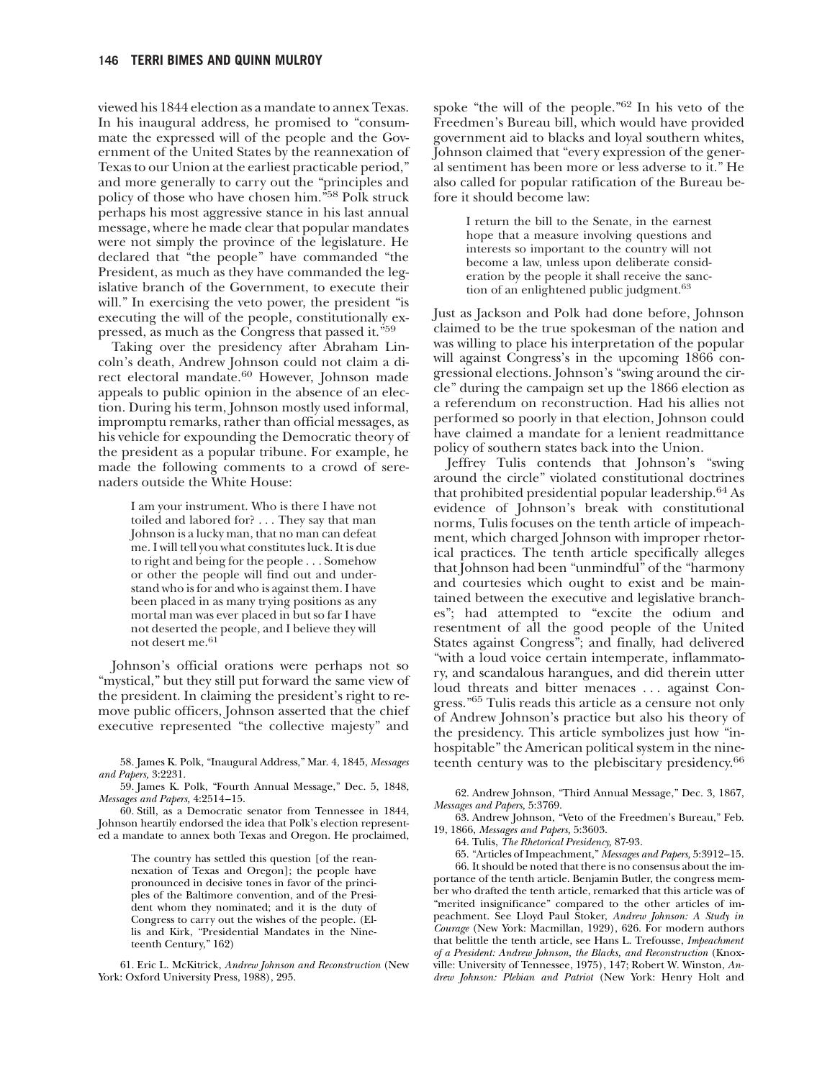viewed his 1844 election as a mandate to annex Texas. In his inaugural address, he promised to "consummate the expressed will of the people and the Government of the United States by the reannexation of Texas to our Union at the earliest practicable period," and more generally to carry out the "principles and policy of those who have chosen him."<sup>58</sup> Polk struck perhaps his most aggressive stance in his last annual message, where he made clear that popular mandates were not simply the province of the legislature. He declared that "the people" have commanded "the President, as much as they have commanded the legislative branch of the Government, to execute their will." In exercising the veto power, the president "is executing the will of the people, constitutionally expressed, as much as the Congress that passed it."59

Taking over the presidency after Abraham Lincoln's death, Andrew Johnson could not claim a direct electoral mandate.<sup>60</sup> However, Johnson made appeals to public opinion in the absence of an election. During his term, Johnson mostly used informal, impromptu remarks, rather than official messages, as his vehicle for expounding the Democratic theory of the president as a popular tribune. For example, he made the following comments to a crowd of serenaders outside the White House:

> I am your instrument. Who is there I have not toiled and labored for? . . . They say that man Johnson is a lucky man, that no man can defeat me. I will tell you what constitutes luck. It is due to right and being for the people . . . Somehow or other the people will find out and understand who is for and who is against them. I have been placed in as many trying positions as any mortal man was ever placed in but so far I have not deserted the people, and I believe they will not desert me.61

Johnson's official orations were perhaps not so "mystical," but they still put forward the same view of the president. In claiming the president's right to remove public officers, Johnson asserted that the chief executive represented "the collective majesty" and

58. James K. Polk, "Inaugural Address," Mar. 4, 1845, *Messages and Papers,* 3:2231.

59. James K. Polk, "Fourth Annual Message," Dec. 5, 1848, *Messages and Papers,* 4:2514–15.

60. Still, as a Democratic senator from Tennessee in 1844, Johnson heartily endorsed the idea that Polk's election represented a mandate to annex both Texas and Oregon. He proclaimed,

> The country has settled this question [of the reannexation of Texas and Oregon]; the people have pronounced in decisive tones in favor of the principles of the Baltimore convention, and of the President whom they nominated; and it is the duty of Congress to carry out the wishes of the people. (Ellis and Kirk, "Presidential Mandates in the Nineteenth Century," 162)

61. Eric L. McKitrick, *Andrew Johnson and Reconstruction* (New York: Oxford University Press, 1988), 295.

spoke "the will of the people."<sup>62</sup> In his veto of the Freedmen's Bureau bill, which would have provided government aid to blacks and loyal southern whites, Johnson claimed that "every expression of the general sentiment has been more or less adverse to it." He also called for popular ratification of the Bureau before it should become law:

> I return the bill to the Senate, in the earnest hope that a measure involving questions and interests so important to the country will not become a law, unless upon deliberate consideration by the people it shall receive the sanction of an enlightened public judgment.<sup>63</sup>

Just as Jackson and Polk had done before, Johnson claimed to be the true spokesman of the nation and was willing to place his interpretation of the popular will against Congress's in the upcoming 1866 congressional elections. Johnson's "swing around the circle" during the campaign set up the 1866 election as a referendum on reconstruction. Had his allies not performed so poorly in that election, Johnson could have claimed a mandate for a lenient readmittance policy of southern states back into the Union.

Jeffrey Tulis contends that Johnson's "swing around the circle" violated constitutional doctrines that prohibited presidential popular leadership.<sup>64</sup> As evidence of Johnson's break with constitutional norms, Tulis focuses on the tenth article of impeachment, which charged Johnson with improper rhetorical practices. The tenth article specifically alleges that Johnson had been "unmindful" of the "harmony and courtesies which ought to exist and be maintained between the executive and legislative branches"; had attempted to "excite the odium and resentment of all the good people of the United States against Congress"; and finally, had delivered "with a loud voice certain intemperate, inflammatory, and scandalous harangues, and did therein utter loud threats and bitter menaces . . . against Congress."<sup>65</sup> Tulis reads this article as a censure not only of Andrew Johnson's practice but also his theory of the presidency. This article symbolizes just how "inhospitable" the American political system in the nineteenth century was to the plebiscitary presidency.66

62. Andrew Johnson, "Third Annual Message," Dec. 3, 1867, *Messages and Papers,* 5:3769.

63. Andrew Johnson, "Veto of the Freedmen's Bureau," Feb. 19, 1866, *Messages and Papers,* 5:3603.

64. Tulis, *The Rhetorical Presidency,* 87-93.

65. "Articles of Impeachment," *Messages and Papers,* 5:3912–15. 66. It should be noted that there is no consensus about the importance of the tenth article. Benjamin Butler, the congress member who drafted the tenth article, remarked that this article was of "merited insignificance" compared to the other articles of impeachment. See Lloyd Paul Stoker, *Andrew Johnson: A Study in Courage* (New York: Macmillan, 1929), 626. For modern authors that belittle the tenth article, see Hans L. Trefousse, *Impeachment of a President: Andrew Johnson, the Blacks, and Reconstruction* (Knoxville: University of Tennessee, 1975), 147; Robert W. Winston, *Andrew Johnson: Plebian and Patriot* (New York: Henry Holt and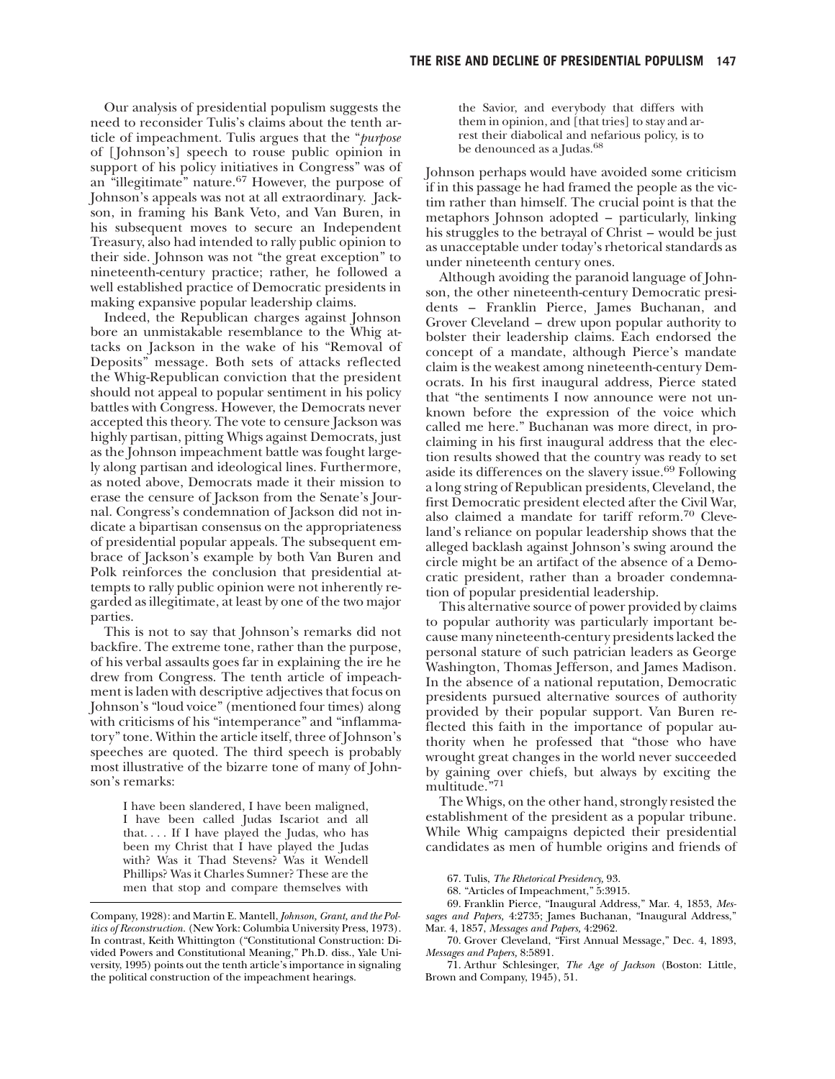Our analysis of presidential populism suggests the need to reconsider Tulis's claims about the tenth article of impeachment. Tulis argues that the "*purpose* of [Johnson's] speech to rouse public opinion in support of his policy initiatives in Congress" was of an "illegitimate" nature.<sup>67</sup> However, the purpose of Johnson's appeals was not at all extraordinary. Jackson, in framing his Bank Veto, and Van Buren, in his subsequent moves to secure an Independent Treasury, also had intended to rally public opinion to their side. Johnson was not "the great exception" to nineteenth-century practice; rather, he followed a well established practice of Democratic presidents in making expansive popular leadership claims.

Indeed, the Republican charges against Johnson bore an unmistakable resemblance to the Whig attacks on Jackson in the wake of his "Removal of Deposits" message. Both sets of attacks reflected the Whig-Republican conviction that the president should not appeal to popular sentiment in his policy battles with Congress. However, the Democrats never accepted this theory. The vote to censure Jackson was highly partisan, pitting Whigs against Democrats, just as the Johnson impeachment battle was fought largely along partisan and ideological lines. Furthermore, as noted above, Democrats made it their mission to erase the censure of Jackson from the Senate's Journal. Congress's condemnation of Jackson did not indicate a bipartisan consensus on the appropriateness of presidential popular appeals. The subsequent embrace of Jackson's example by both Van Buren and Polk reinforces the conclusion that presidential attempts to rally public opinion were not inherently regarded as illegitimate, at least by one of the two major parties.

This is not to say that Johnson's remarks did not backfire. The extreme tone, rather than the purpose, of his verbal assaults goes far in explaining the ire he drew from Congress. The tenth article of impeachment is laden with descriptive adjectives that focus on Johnson's "loud voice" (mentioned four times) along with criticisms of his "intemperance" and "inflammatory" tone. Within the article itself, three of Johnson's speeches are quoted. The third speech is probably most illustrative of the bizarre tone of many of Johnson's remarks:

> I have been slandered, I have been maligned, I have been called Judas Iscariot and all that. . . . If I have played the Judas, who has been my Christ that I have played the Judas with? Was it Thad Stevens? Was it Wendell Phillips? Was it Charles Sumner? These are the men that stop and compare themselves with

the Savior, and everybody that differs with them in opinion, and [that tries] to stay and arrest their diabolical and nefarious policy, is to be denounced as a Judas.<sup>68</sup>

Johnson perhaps would have avoided some criticism if in this passage he had framed the people as the victim rather than himself. The crucial point is that the metaphors Johnson adopted – particularly, linking his struggles to the betrayal of Christ – would be just as unacceptable under today's rhetorical standards as under nineteenth century ones.

Although avoiding the paranoid language of Johnson, the other nineteenth-century Democratic presidents – Franklin Pierce, James Buchanan, and Grover Cleveland – drew upon popular authority to bolster their leadership claims. Each endorsed the concept of a mandate, although Pierce's mandate claim is the weakest among nineteenth-century Democrats. In his first inaugural address, Pierce stated that "the sentiments I now announce were not unknown before the expression of the voice which called me here." Buchanan was more direct, in proclaiming in his first inaugural address that the election results showed that the country was ready to set aside its differences on the slavery issue.<sup>69</sup> Following a long string of Republican presidents, Cleveland, the first Democratic president elected after the Civil War, also claimed a mandate for tariff reform.70 Cleveland's reliance on popular leadership shows that the alleged backlash against Johnson's swing around the circle might be an artifact of the absence of a Democratic president, rather than a broader condemnation of popular presidential leadership.

This alternative source of power provided by claims to popular authority was particularly important because many nineteenth-century presidents lacked the personal stature of such patrician leaders as George Washington, Thomas Jefferson, and James Madison. In the absence of a national reputation, Democratic presidents pursued alternative sources of authority provided by their popular support. Van Buren reflected this faith in the importance of popular authority when he professed that "those who have wrought great changes in the world never succeeded by gaining over chiefs, but always by exciting the multitude."<sup>71</sup>

The Whigs, on the other hand, strongly resisted the establishment of the president as a popular tribune. While Whig campaigns depicted their presidential candidates as men of humble origins and friends of

Company, 1928): and Martin E. Mantell, *Johnson, Grant, and the Politics of Reconstruction.* (New York: Columbia University Press, 1973). In contrast, Keith Whittington ("Constitutional Construction: Divided Powers and Constitutional Meaning," Ph.D. diss., Yale University, 1995) points out the tenth article's importance in signaling the political construction of the impeachment hearings.

<sup>67.</sup> Tulis, *The Rhetorical Presidency,* 93.

<sup>68. &</sup>quot;Articles of Impeachment," 5:3915.

<sup>69.</sup> Franklin Pierce, "Inaugural Address," Mar. 4, 1853, *Messages and Papers,* 4:2735; James Buchanan, "Inaugural Address," Mar. 4, 1857, *Messages and Papers,* 4:2962.

<sup>70.</sup> Grover Cleveland, "First Annual Message," Dec. 4, 1893, *Messages and Papers,* 8:5891.

<sup>71.</sup> Arthur Schlesinger, *The Age of Jackson* (Boston: Little, Brown and Company, 1945), 51.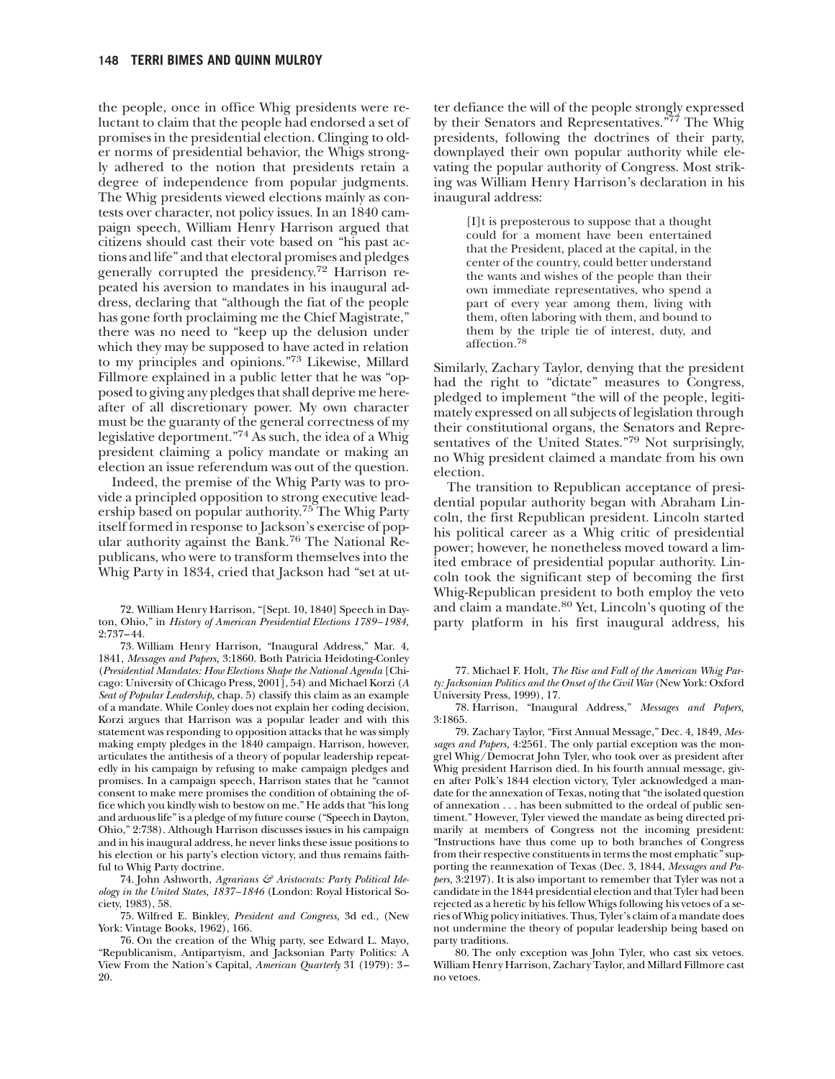the people, once in office Whig presidents were reluctant to claim that the people had endorsed a set of promises in the presidential election. Clinging to older norms of presidential behavior, the Whigs strongly adhered to the notion that presidents retain a degree of independence from popular judgments. The Whig presidents viewed elections mainly as contests over character, not policy issues. In an 1840 campaign speech, William Henry Harrison argued that citizens should cast their vote based on "his past actions and life" and that electoral promises and pledges generally corrupted the presidency.72 Harrison repeated his aversion to mandates in his inaugural address, declaring that "although the fiat of the people has gone forth proclaiming me the Chief Magistrate," there was no need to "keep up the delusion under which they may be supposed to have acted in relation to my principles and opinions."73 Likewise, Millard Fillmore explained in a public letter that he was "opposed to giving any pledges that shall deprive me hereafter of all discretionary power. My own character must be the guaranty of the general correctness of my legislative deportment."74 As such, the idea of a Whig president claiming a policy mandate or making an election an issue referendum was out of the question.

Indeed, the premise of the Whig Party was to provide a principled opposition to strong executive leadership based on popular authority.<sup>75</sup> The Whig Party itself formed in response to Jackson's exercise of popular authority against the Bank.<sup>76</sup> The National Republicans, who were to transform themselves into the Whig Party in 1834, cried that Jackson had "set at ut-

72. William Henry Harrison, "[Sept. 10, 1840] Speech in Dayton, Ohio," in *History of American Presidential Elections 1789–1984,* 2:737–44.

73. William Henry Harrison, "Inaugural Address," Mar. 4, 1841, *Messages and Papers,* 3:1860. Both Patricia Heidoting-Conley (*Presidential Mandates: How Elections Shape the National Agenda* [Chicago: University of Chicago Press, 2001], 54) and Michael Korzi (*A Seat of Popular Leadership,* chap. 5) classify this claim as an example of a mandate. While Conley does not explain her coding decision, Korzi argues that Harrison was a popular leader and with this statement was responding to opposition attacks that he was simply making empty pledges in the 1840 campaign. Harrison, however, articulates the antithesis of a theory of popular leadership repeatedly in his campaign by refusing to make campaign pledges and promises. In a campaign speech, Harrison states that he "cannot consent to make mere promises the condition of obtaining the office which you kindly wish to bestow on me." He adds that "his long and arduous life" is a pledge of my future course ("Speech in Dayton, Ohio," 2:738). Although Harrison discusses issues in his campaign and in his inaugural address, he never links these issue positions to his election or his party's election victory, and thus remains faithful to Whig Party doctrine.

74. John Ashworth, *Agrarians & Aristocrats: Party Political Ideology in the United States, 1837–1846* (London: Royal Historical Society, 1983), 58.

75. Wilfred E. Binkley, *President and Congress,* 3d ed., (New York: Vintage Books, 1962), 166.

76. On the creation of the Whig party, see Edward L. Mayo, "Republicanism, Antipartyism, and Jacksonian Party Politics: A View From the Nation's Capital, *American Quarterly* 31 (1979): 3– 20.

ter defiance the will of the people strongly expressed by their Senators and Representatives."77 The Whig presidents, following the doctrines of their party, downplayed their own popular authority while elevating the popular authority of Congress. Most striking was William Henry Harrison's declaration in his inaugural address:

> [I]t is preposterous to suppose that a thought could for a moment have been entertained that the President, placed at the capital, in the center of the country, could better understand the wants and wishes of the people than their own immediate representatives, who spend a part of every year among them, living with them, often laboring with them, and bound to them by the triple tie of interest, duty, and affection.<sup>78</sup>

Similarly, Zachary Taylor, denying that the president had the right to "dictate" measures to Congress, pledged to implement "the will of the people, legitimately expressed on all subjects of legislation through their constitutional organs, the Senators and Representatives of the United States."79 Not surprisingly, no Whig president claimed a mandate from his own election.

The transition to Republican acceptance of presidential popular authority began with Abraham Lincoln, the first Republican president. Lincoln started his political career as a Whig critic of presidential power; however, he nonetheless moved toward a limited embrace of presidential popular authority. Lincoln took the significant step of becoming the first Whig-Republican president to both employ the veto and claim a mandate.<sup>80</sup> Yet, Lincoln's quoting of the party platform in his first inaugural address, his

77. Michael F. Holt, *The Rise and Fall of the American Whig Party: Jacksonian Politics and the Onset of the Civil War* (New York: Oxford University Press, 1999), 17.

78. Harrison, "Inaugural Address," *Messages and Papers,* 3:1865.

79. Zachary Taylor, "First Annual Message," Dec. 4, 1849, *Messages and Papers,* 4:2561. The only partial exception was the mongrel Whig/Democrat John Tyler, who took over as president after Whig president Harrison died. In his fourth annual message, given after Polk's 1844 election victory, Tyler acknowledged a mandate for the annexation of Texas, noting that "the isolated question of annexation . . . has been submitted to the ordeal of public sentiment." However, Tyler viewed the mandate as being directed primarily at members of Congress not the incoming president: "Instructions have thus come up to both branches of Congress from their respective constituents in terms the most emphatic" supporting the reannexation of Texas (Dec. 3, 1844, *Messages and Papers,* 3:2197). It is also important to remember that Tyler was not a candidate in the 1844 presidential election and that Tyler had been rejected as a heretic by his fellow Whigs following his vetoes of a series of Whig policy initiatives. Thus, Tyler's claim of a mandate does not undermine the theory of popular leadership being based on party traditions.

80. The only exception was John Tyler, who cast six vetoes. William Henry Harrison, Zachary Taylor, and Millard Fillmore cast no vetoes.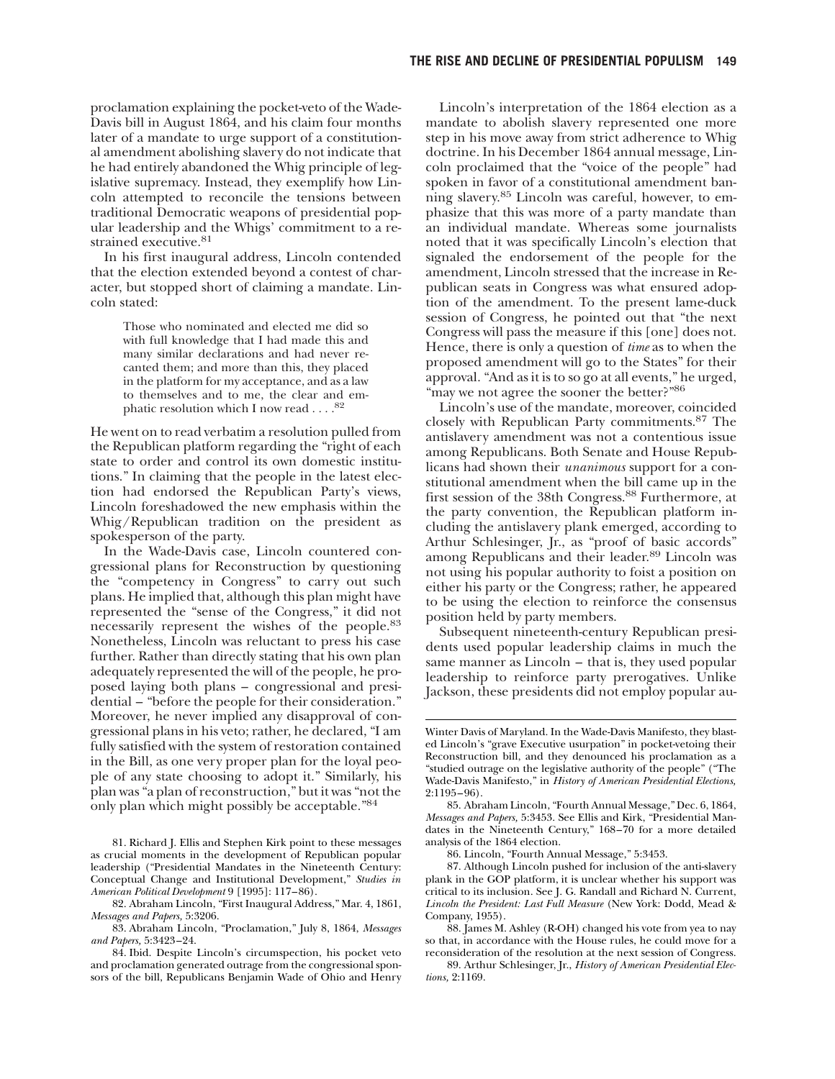proclamation explaining the pocket-veto of the Wade-Davis bill in August 1864, and his claim four months later of a mandate to urge support of a constitutional amendment abolishing slavery do not indicate that he had entirely abandoned the Whig principle of legislative supremacy. Instead, they exemplify how Lincoln attempted to reconcile the tensions between traditional Democratic weapons of presidential popular leadership and the Whigs' commitment to a restrained executive.<sup>81</sup>

In his first inaugural address, Lincoln contended that the election extended beyond a contest of character, but stopped short of claiming a mandate. Lincoln stated:

> Those who nominated and elected me did so with full knowledge that I had made this and many similar declarations and had never recanted them; and more than this, they placed in the platform for my acceptance, and as a law to themselves and to me, the clear and emphatic resolution which I now read . . . . 82

He went on to read verbatim a resolution pulled from the Republican platform regarding the "right of each state to order and control its own domestic institutions." In claiming that the people in the latest election had endorsed the Republican Party's views, Lincoln foreshadowed the new emphasis within the Whig/Republican tradition on the president as spokesperson of the party.

In the Wade-Davis case, Lincoln countered congressional plans for Reconstruction by questioning the "competency in Congress" to carry out such plans. He implied that, although this plan might have represented the "sense of the Congress," it did not necessarily represent the wishes of the people.<sup>83</sup> Nonetheless, Lincoln was reluctant to press his case further. Rather than directly stating that his own plan adequately represented the will of the people, he proposed laying both plans – congressional and presidential – "before the people for their consideration." Moreover, he never implied any disapproval of congressional plans in his veto; rather, he declared, "I am fully satisfied with the system of restoration contained in the Bill, as one very proper plan for the loyal people of any state choosing to adopt it." Similarly, his plan was "a plan of reconstruction," but it was "not the only plan which might possibly be acceptable."<sup>84</sup>

81. Richard J. Ellis and Stephen Kirk point to these messages as crucial moments in the development of Republican popular leadership ("Presidential Mandates in the Nineteenth Century: Conceptual Change and Institutional Development," *Studies in American Political Development* 9 [1995]: 117–86).

82. Abraham Lincoln, "First Inaugural Address," Mar. 4, 1861, *Messages and Papers,* 5:3206.

83. Abraham Lincoln, "Proclamation," July 8, 1864, *Messages and Papers,* 5:3423–24.

Lincoln's interpretation of the 1864 election as a mandate to abolish slavery represented one more step in his move away from strict adherence to Whig doctrine. In his December 1864 annual message, Lincoln proclaimed that the "voice of the people" had spoken in favor of a constitutional amendment banning slavery.85 Lincoln was careful, however, to emphasize that this was more of a party mandate than an individual mandate. Whereas some journalists noted that it was specifically Lincoln's election that signaled the endorsement of the people for the amendment, Lincoln stressed that the increase in Republican seats in Congress was what ensured adoption of the amendment. To the present lame-duck session of Congress, he pointed out that "the next Congress will pass the measure if this [one] does not. Hence, there is only a question of *time* as to when the proposed amendment will go to the States" for their approval. "And as it is to so go at all events," he urged, "may we not agree the sooner the better?"86

Lincoln's use of the mandate, moreover, coincided closely with Republican Party commitments.87 The antislavery amendment was not a contentious issue among Republicans. Both Senate and House Republicans had shown their *unanimous* support for a constitutional amendment when the bill came up in the first session of the 38th Congress.<sup>88</sup> Furthermore, at the party convention, the Republican platform including the antislavery plank emerged, according to Arthur Schlesinger, Jr., as "proof of basic accords" among Republicans and their leader.<sup>89</sup> Lincoln was not using his popular authority to foist a position on either his party or the Congress; rather, he appeared to be using the election to reinforce the consensus position held by party members.

Subsequent nineteenth-century Republican presidents used popular leadership claims in much the same manner as Lincoln – that is, they used popular leadership to reinforce party prerogatives. Unlike Jackson, these presidents did not employ popular au-

87. Although Lincoln pushed for inclusion of the anti-slavery plank in the GOP platform, it is unclear whether his support was critical to its inclusion. See J. G. Randall and Richard N. Current, *Lincoln the President: Last Full Measure* (New York: Dodd, Mead & Company, 1955).

88. James M. Ashley (R-OH) changed his vote from yea to nay so that, in accordance with the House rules, he could move for a reconsideration of the resolution at the next session of Congress.

89. Arthur Schlesinger, Jr., *History of American Presidential Elections,* 2:1169.

<sup>84.</sup> Ibid. Despite Lincoln's circumspection, his pocket veto and proclamation generated outrage from the congressional sponsors of the bill, Republicans Benjamin Wade of Ohio and Henry

Winter Davis of Maryland. In the Wade-Davis Manifesto, they blasted Lincoln's "grave Executive usurpation" in pocket-vetoing their Reconstruction bill, and they denounced his proclamation as a "studied outrage on the legislative authority of the people" ("The Wade-Davis Manifesto," in *History of American Presidential Elections,* 2:1195–96).

<sup>85.</sup> Abraham Lincoln, "Fourth Annual Message," Dec. 6, 1864, *Messages and Papers,* 5:3453. See Ellis and Kirk, "Presidential Mandates in the Nineteenth Century," 168–70 for a more detailed analysis of the 1864 election.

<sup>86.</sup> Lincoln, "Fourth Annual Message," 5:3453.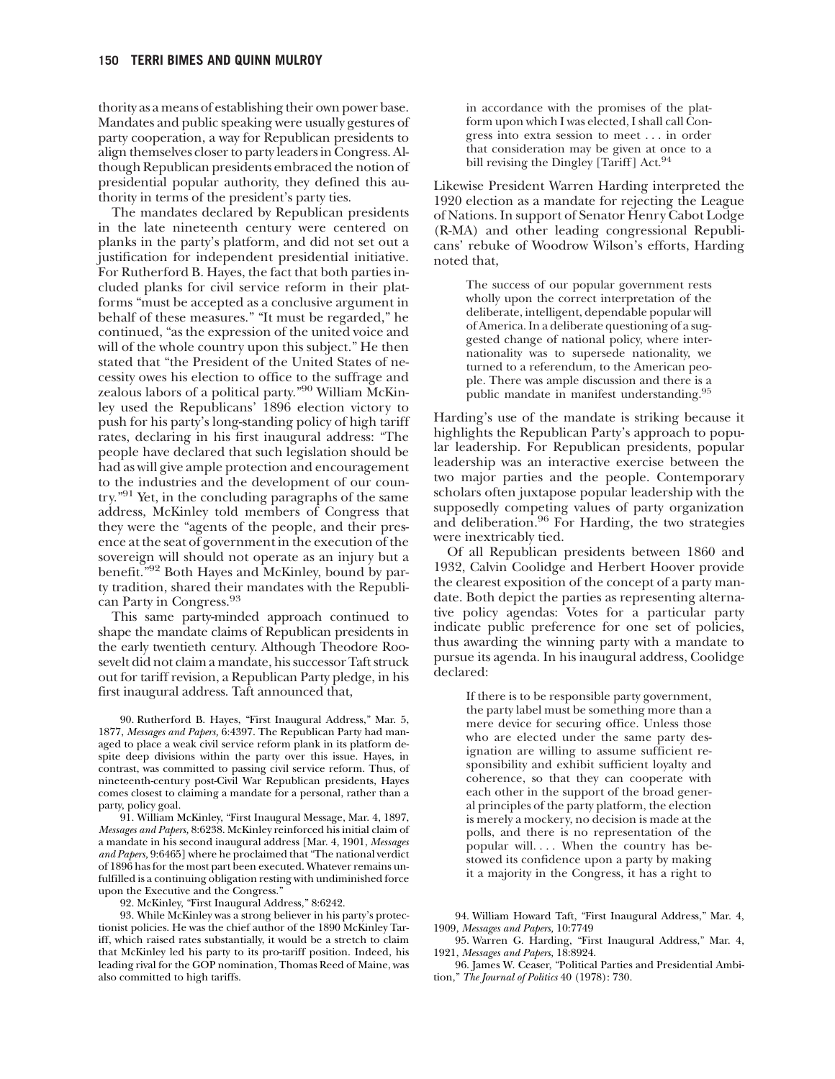thority as a means of establishing their own power base. Mandates and public speaking were usually gestures of party cooperation, a way for Republican presidents to align themselves closer to party leaders in Congress. Although Republican presidents embraced the notion of presidential popular authority, they defined this authority in terms of the president's party ties.

The mandates declared by Republican presidents in the late nineteenth century were centered on planks in the party's platform, and did not set out a justification for independent presidential initiative. For Rutherford B. Hayes, the fact that both parties included planks for civil service reform in their platforms "must be accepted as a conclusive argument in behalf of these measures." "It must be regarded," he continued, "as the expression of the united voice and will of the whole country upon this subject." He then stated that "the President of the United States of necessity owes his election to office to the suffrage and zealous labors of a political party."<sup>90</sup> William McKinley used the Republicans' 1896 election victory to push for his party's long-standing policy of high tariff rates, declaring in his first inaugural address: "The people have declared that such legislation should be had as will give ample protection and encouragement to the industries and the development of our country."<sup>91</sup> Yet, in the concluding paragraphs of the same address, McKinley told members of Congress that they were the "agents of the people, and their presence at the seat of government in the execution of the sovereign will should not operate as an injury but a benefit."<sup>92</sup> Both Hayes and McKinley, bound by party tradition, shared their mandates with the Republican Party in Congress.<sup>93</sup>

This same party-minded approach continued to shape the mandate claims of Republican presidents in the early twentieth century. Although Theodore Roosevelt did not claim a mandate, his successor Taft struck out for tariff revision, a Republican Party pledge, in his first inaugural address. Taft announced that,

90. Rutherford B. Hayes, "First Inaugural Address," Mar. 5, 1877, *Messages and Papers,* 6:4397. The Republican Party had managed to place a weak civil service reform plank in its platform despite deep divisions within the party over this issue. Hayes, in contrast, was committed to passing civil service reform. Thus, of nineteenth-century post-Civil War Republican presidents, Hayes comes closest to claiming a mandate for a personal, rather than a party, policy goal.

91. William McKinley, "First Inaugural Message, Mar. 4, 1897, *Messages and Papers,* 8:6238. McKinley reinforced his initial claim of a mandate in his second inaugural address [Mar. 4, 1901, *Messages and Papers,* 9:6465] where he proclaimed that "The national verdict of 1896 has for the most part been executed. Whatever remains unfulfilled is a continuing obligation resting with undiminished force upon the Executive and the Congress."

92. McKinley, "First Inaugural Address," 8:6242.

93. While McKinley was a strong believer in his party's protectionist policies. He was the chief author of the 1890 McKinley Tariff, which raised rates substantially, it would be a stretch to claim that McKinley led his party to its pro-tariff position. Indeed, his leading rival for the GOP nomination, Thomas Reed of Maine, was also committed to high tariffs.

in accordance with the promises of the platform upon which I was elected, I shall call Congress into extra session to meet . . . in order that consideration may be given at once to a bill revising the Dingley [Tariff] Act.<sup>94</sup>

Likewise President Warren Harding interpreted the 1920 election as a mandate for rejecting the League of Nations. In support of Senator Henry Cabot Lodge (R-MA) and other leading congressional Republicans' rebuke of Woodrow Wilson's efforts, Harding noted that,

> The success of our popular government rests wholly upon the correct interpretation of the deliberate, intelligent, dependable popular will of America. In a deliberate questioning of a suggested change of national policy, where internationality was to supersede nationality, we turned to a referendum, to the American people. There was ample discussion and there is a public mandate in manifest understanding.<sup>95</sup>

Harding's use of the mandate is striking because it highlights the Republican Party's approach to popular leadership. For Republican presidents, popular leadership was an interactive exercise between the two major parties and the people. Contemporary scholars often juxtapose popular leadership with the supposedly competing values of party organization and deliberation.<sup>96</sup> For Harding, the two strategies were inextricably tied.

Of all Republican presidents between 1860 and 1932, Calvin Coolidge and Herbert Hoover provide the clearest exposition of the concept of a party mandate. Both depict the parties as representing alternative policy agendas: Votes for a particular party indicate public preference for one set of policies, thus awarding the winning party with a mandate to pursue its agenda. In his inaugural address, Coolidge declared:

> If there is to be responsible party government, the party label must be something more than a mere device for securing office. Unless those who are elected under the same party designation are willing to assume sufficient responsibility and exhibit sufficient loyalty and coherence, so that they can cooperate with each other in the support of the broad general principles of the party platform, the election is merely a mockery, no decision is made at the polls, and there is no representation of the popular will. . . . When the country has bestowed its confidence upon a party by making it a majority in the Congress, it has a right to

94. William Howard Taft, "First Inaugural Address," Mar. 4, 1909, *Messages and Papers,* 10:7749

95. Warren G. Harding, "First Inaugural Address," Mar. 4, 1921, *Messages and Papers,* 18:8924.

96. James W. Ceaser, "Political Parties and Presidential Ambition," *The Journal of Politics* 40 (1978): 730.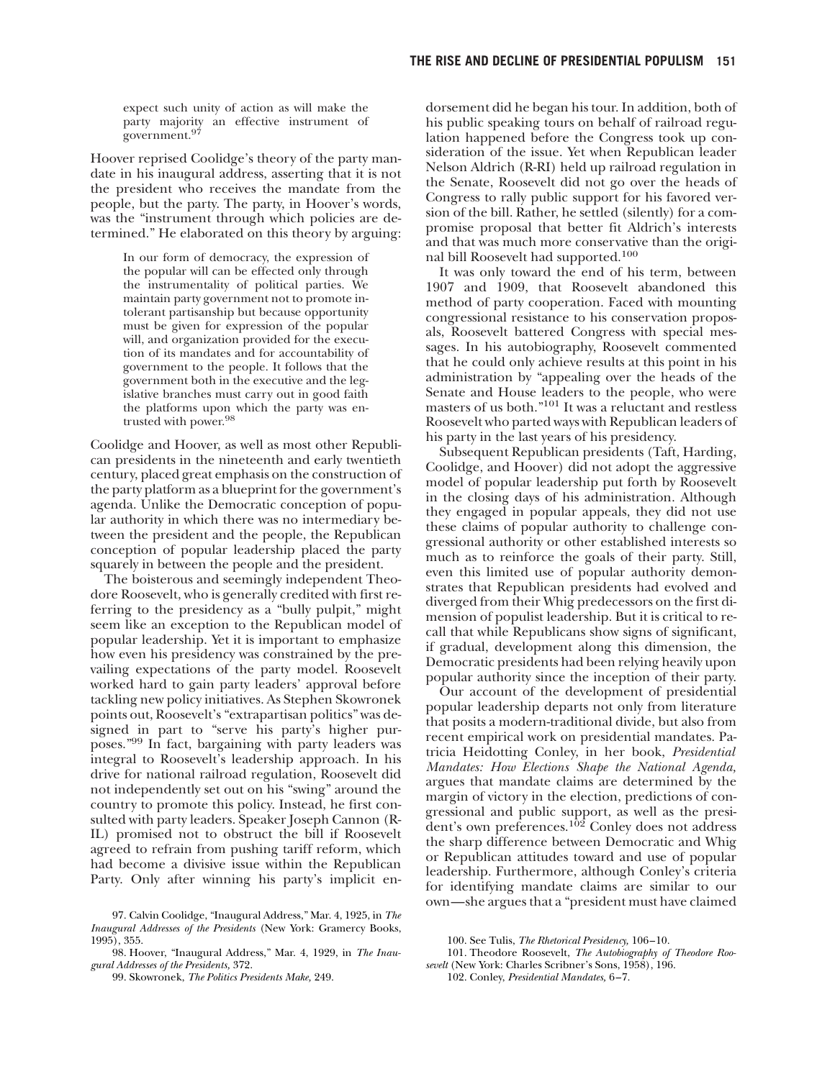expect such unity of action as will make the party majority an effective instrument of government.<sup>97</sup>

Hoover reprised Coolidge's theory of the party mandate in his inaugural address, asserting that it is not the president who receives the mandate from the people, but the party. The party, in Hoover's words, was the "instrument through which policies are determined." He elaborated on this theory by arguing:

> In our form of democracy, the expression of the popular will can be effected only through the instrumentality of political parties. We maintain party government not to promote intolerant partisanship but because opportunity must be given for expression of the popular will, and organization provided for the execution of its mandates and for accountability of government to the people. It follows that the government both in the executive and the legislative branches must carry out in good faith the platforms upon which the party was entrusted with power.<sup>98</sup>

Coolidge and Hoover, as well as most other Republican presidents in the nineteenth and early twentieth century, placed great emphasis on the construction of the party platform as a blueprint for the government's agenda. Unlike the Democratic conception of popular authority in which there was no intermediary between the president and the people, the Republican conception of popular leadership placed the party squarely in between the people and the president.

The boisterous and seemingly independent Theodore Roosevelt, who is generally credited with first referring to the presidency as a "bully pulpit," might seem like an exception to the Republican model of popular leadership. Yet it is important to emphasize how even his presidency was constrained by the prevailing expectations of the party model. Roosevelt worked hard to gain party leaders' approval before tackling new policy initiatives. As Stephen Skowronek points out, Roosevelt's "extrapartisan politics" was designed in part to "serve his party's higher purposes."<sup>99</sup> In fact, bargaining with party leaders was integral to Roosevelt's leadership approach. In his drive for national railroad regulation, Roosevelt did not independently set out on his "swing" around the country to promote this policy. Instead, he first consulted with party leaders. Speaker Joseph Cannon (R-IL) promised not to obstruct the bill if Roosevelt agreed to refrain from pushing tariff reform, which had become a divisive issue within the Republican Party. Only after winning his party's implicit endorsement did he began his tour. In addition, both of his public speaking tours on behalf of railroad regulation happened before the Congress took up consideration of the issue. Yet when Republican leader Nelson Aldrich (R-RI) held up railroad regulation in the Senate, Roosevelt did not go over the heads of Congress to rally public support for his favored version of the bill. Rather, he settled (silently) for a compromise proposal that better fit Aldrich's interests and that was much more conservative than the original bill Roosevelt had supported.<sup>100</sup>

It was only toward the end of his term, between 1907 and 1909, that Roosevelt abandoned this method of party cooperation. Faced with mounting congressional resistance to his conservation proposals, Roosevelt battered Congress with special messages. In his autobiography, Roosevelt commented that he could only achieve results at this point in his administration by "appealing over the heads of the Senate and House leaders to the people, who were masters of us both."<sup>101</sup> It was a reluctant and restless Roosevelt who parted ways with Republican leaders of his party in the last years of his presidency.

Subsequent Republican presidents (Taft, Harding, Coolidge, and Hoover) did not adopt the aggressive model of popular leadership put forth by Roosevelt in the closing days of his administration. Although they engaged in popular appeals, they did not use these claims of popular authority to challenge congressional authority or other established interests so much as to reinforce the goals of their party. Still, even this limited use of popular authority demonstrates that Republican presidents had evolved and diverged from their Whig predecessors on the first dimension of populist leadership. But it is critical to recall that while Republicans show signs of significant, if gradual, development along this dimension, the Democratic presidents had been relying heavily upon popular authority since the inception of their party.

Our account of the development of presidential popular leadership departs not only from literature that posits a modern-traditional divide, but also from recent empirical work on presidential mandates. Patricia Heidotting Conley, in her book, *Presidential Mandates: How Elections Shape the National Agenda,* argues that mandate claims are determined by the margin of victory in the election, predictions of congressional and public support, as well as the president's own preferences.<sup>102</sup> Conley does not address the sharp difference between Democratic and Whig or Republican attitudes toward and use of popular leadership. Furthermore, although Conley's criteria for identifying mandate claims are similar to our own—she argues that a "president must have claimed

<sup>97.</sup> Calvin Coolidge, "Inaugural Address," Mar. 4, 1925, in *The Inaugural Addresses of the Presidents* (New York: Gramercy Books, 1995), 355.

<sup>98.</sup> Hoover, "Inaugural Address," Mar. 4, 1929, in *The Inaugural Addresses of the Presidents,* 372.

<sup>99.</sup> Skowronek, *The Politics Presidents Make,* 249.

<sup>100.</sup> See Tulis, *The Rhetorical Presidency,* 106–10.

<sup>101.</sup> Theodore Roosevelt, *The Autobiography of Theodore Roo-*

*sevelt* (New York: Charles Scribner's Sons, 1958), 196.

<sup>102.</sup> Conley, *Presidential Mandates,* 6–7.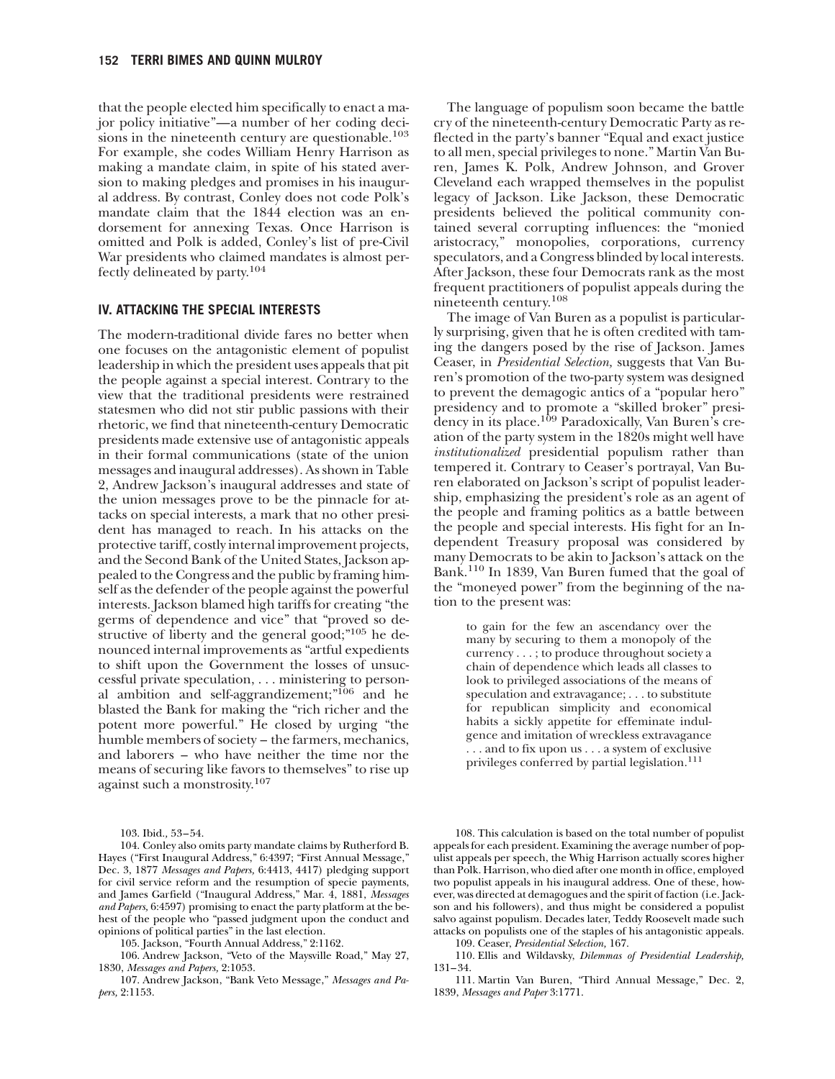that the people elected him specifically to enact a major policy initiative"—a number of her coding decisions in the nineteenth century are questionable.<sup>103</sup> For example, she codes William Henry Harrison as making a mandate claim, in spite of his stated aversion to making pledges and promises in his inaugural address. By contrast, Conley does not code Polk's mandate claim that the 1844 election was an endorsement for annexing Texas. Once Harrison is omitted and Polk is added, Conley's list of pre-Civil War presidents who claimed mandates is almost perfectly delineated by party.104

## **IV. ATTACKING THE SPECIAL INTERESTS**

The modern-traditional divide fares no better when one focuses on the antagonistic element of populist leadership in which the president uses appeals that pit the people against a special interest. Contrary to the view that the traditional presidents were restrained statesmen who did not stir public passions with their rhetoric, we find that nineteenth-century Democratic presidents made extensive use of antagonistic appeals in their formal communications (state of the union messages and inaugural addresses). As shown in Table 2, Andrew Jackson's inaugural addresses and state of the union messages prove to be the pinnacle for attacks on special interests, a mark that no other president has managed to reach. In his attacks on the protective tariff, costly internal improvement projects, and the Second Bank of the United States, Jackson appealed to the Congress and the public by framing himself as the defender of the people against the powerful interests. Jackson blamed high tariffs for creating "the germs of dependence and vice" that "proved so destructive of liberty and the general good;"<sup>105</sup> he denounced internal improvements as "artful expedients to shift upon the Government the losses of unsuccessful private speculation, . . . ministering to personal ambition and self-aggrandizement;"106 and he blasted the Bank for making the "rich richer and the potent more powerful." He closed by urging "the humble members of society – the farmers, mechanics, and laborers – who have neither the time nor the means of securing like favors to themselves" to rise up against such a monstrosity.107

103. Ibid.*,* 53–54.

104. Conley also omits party mandate claims by Rutherford B. Hayes ("First Inaugural Address," 6:4397; "First Annual Message," Dec. 3, 1877 *Messages and Papers,* 6:4413, 4417) pledging support for civil service reform and the resumption of specie payments, and James Garfield ("Inaugural Address," Mar. 4, 1881, *Messages and Papers,* 6:4597) promising to enact the party platform at the behest of the people who "passed judgment upon the conduct and opinions of political parties" in the last election.

105. Jackson, "Fourth Annual Address," 2:1162.

106. Andrew Jackson, "Veto of the Maysville Road," May 27, 1830, *Messages and Papers,* 2:1053.

107. Andrew Jackson, "Bank Veto Message," *Messages and Papers,* 2:1153.

The language of populism soon became the battle cry of the nineteenth-century Democratic Party as reflected in the party's banner "Equal and exact justice to all men, special privileges to none." Martin Van Buren, James K. Polk, Andrew Johnson, and Grover Cleveland each wrapped themselves in the populist legacy of Jackson. Like Jackson, these Democratic presidents believed the political community contained several corrupting influences: the "monied aristocracy," monopolies, corporations, currency speculators, and a Congress blinded by local interests. After Jackson, these four Democrats rank as the most frequent practitioners of populist appeals during the nineteenth century.108

The image of Van Buren as a populist is particularly surprising, given that he is often credited with taming the dangers posed by the rise of Jackson. James Ceaser, in *Presidential Selection,* suggests that Van Buren's promotion of the two-party system was designed to prevent the demagogic antics of a "popular hero" presidency and to promote a "skilled broker" presidency in its place.<sup>109</sup> Paradoxically, Van Buren's creation of the party system in the 1820s might well have *institutionalized* presidential populism rather than tempered it. Contrary to Ceaser's portrayal, Van Buren elaborated on Jackson's script of populist leadership, emphasizing the president's role as an agent of the people and framing politics as a battle between the people and special interests. His fight for an Independent Treasury proposal was considered by many Democrats to be akin to Jackson's attack on the Bank.<sup>110</sup> In 1839, Van Buren fumed that the goal of the "moneyed power" from the beginning of the nation to the present was:

> to gain for the few an ascendancy over the many by securing to them a monopoly of the currency . . . ; to produce throughout society a chain of dependence which leads all classes to look to privileged associations of the means of speculation and extravagance; . . . to substitute for republican simplicity and economical habits a sickly appetite for effeminate indulgence and imitation of wreckless extravagance . . . and to fix upon us . . . a system of exclusive privileges conferred by partial legislation.<sup>111</sup>

108. This calculation is based on the total number of populist appeals for each president. Examining the average number of populist appeals per speech, the Whig Harrison actually scores higher than Polk. Harrison, who died after one month in office, employed two populist appeals in his inaugural address. One of these, however, was directed at demagogues and the spirit of faction (i.e. Jackson and his followers), and thus might be considered a populist salvo against populism. Decades later, Teddy Roosevelt made such attacks on populists one of the staples of his antagonistic appeals.

109. Ceaser, *Presidential Selection,* 167. 110. Ellis and Wildavsky, *Dilemmas of Presidential Leadership,* 131–34.

111. Martin Van Buren, "Third Annual Message," Dec. 2, 1839, *Messages and Paper* 3:1771.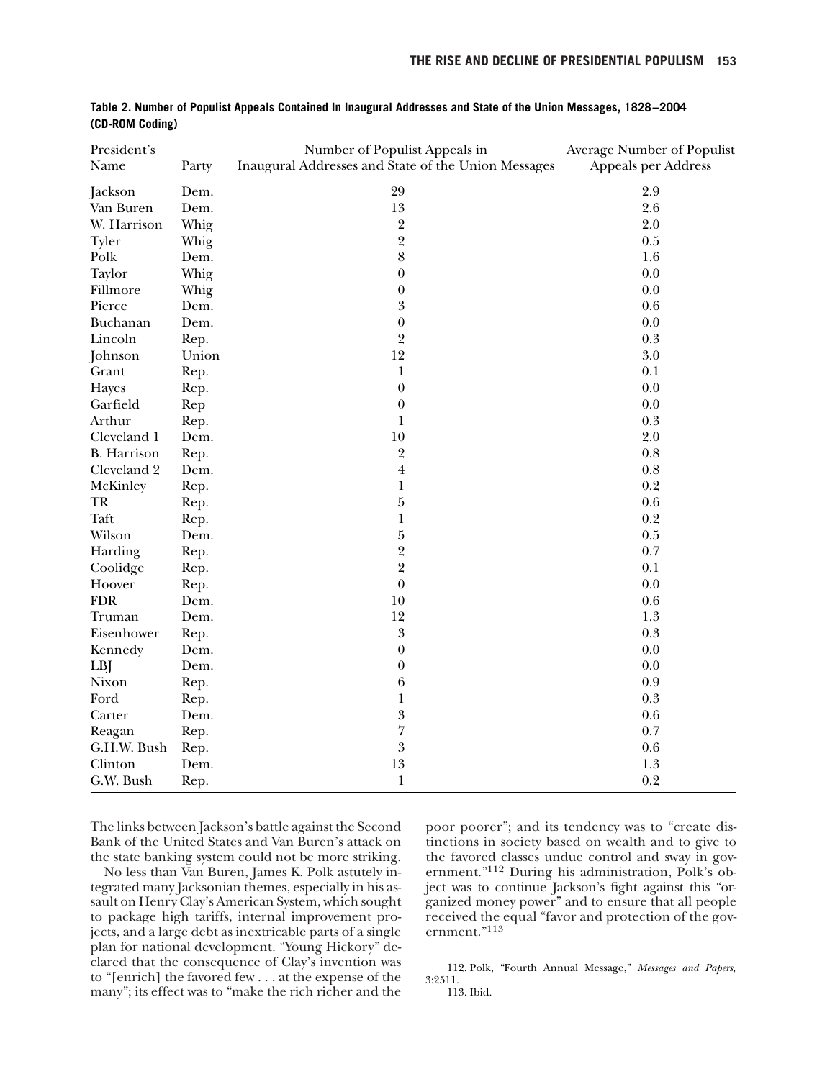| President's        |       | Number of Populist Appeals in                       | <b>Average Number of Populist</b> |  |  |  |
|--------------------|-------|-----------------------------------------------------|-----------------------------------|--|--|--|
| Name               | Party | Inaugural Addresses and State of the Union Messages | <b>Appeals per Address</b>        |  |  |  |
| Jackson            | Dem.  | 29                                                  | 2.9                               |  |  |  |
| Van Buren          | Dem.  | 13                                                  | 2.6                               |  |  |  |
| W. Harrison        | Whig  | $\overline{2}$                                      | 2.0                               |  |  |  |
| Tyler              | Whig  | $\overline{2}$                                      | 0.5                               |  |  |  |
| Polk               | Dem.  | $\,8\,$                                             | 1.6                               |  |  |  |
| Taylor             | Whig  | $\boldsymbol{0}$                                    | $0.0\,$                           |  |  |  |
| Fillmore           | Whig  | $\boldsymbol{0}$                                    | 0.0                               |  |  |  |
| Pierce             | Dem.  | 3                                                   | 0.6                               |  |  |  |
| Buchanan           | Dem.  | $\boldsymbol{0}$                                    | 0.0                               |  |  |  |
| Lincoln            | Rep.  | $\overline{2}$                                      | 0.3                               |  |  |  |
| Johnson            | Union | 12                                                  | 3.0                               |  |  |  |
| Grant              | Rep.  | $\mathbf{1}$                                        | 0.1                               |  |  |  |
| Hayes              | Rep.  | $\boldsymbol{0}$                                    | 0.0                               |  |  |  |
| Garfield           | Rep   | $\boldsymbol{0}$                                    | 0.0                               |  |  |  |
| Arthur             | Rep.  | 1                                                   | 0.3                               |  |  |  |
| Cleveland 1        | Dem.  | $10\,$                                              | 2.0                               |  |  |  |
| <b>B.</b> Harrison | Rep.  | $\overline{2}$                                      | 0.8                               |  |  |  |
| Cleveland 2        | Dem.  | $\overline{4}$                                      | $0.8\,$                           |  |  |  |
| McKinley           | Rep.  | $\mathbf{1}$                                        | 0.2                               |  |  |  |
| TR                 | Rep.  | $\overline{5}$                                      | 0.6                               |  |  |  |
| Taft               | Rep.  | $\mathbf{1}$                                        | 0.2                               |  |  |  |
| Wilson             | Dem.  | $\overline{5}$                                      | 0.5                               |  |  |  |
| Harding            | Rep.  | $\overline{2}$                                      | 0.7                               |  |  |  |
| Coolidge           | Rep.  | $\overline{2}$                                      | 0.1                               |  |  |  |
| Hoover             | Rep.  | $\overline{0}$                                      | 0.0                               |  |  |  |
| <b>FDR</b>         | Dem.  | 10                                                  | 0.6                               |  |  |  |
| Truman             | Dem.  | 12                                                  | 1.3                               |  |  |  |
| Eisenhower         | Rep.  | $\,3$                                               | 0.3                               |  |  |  |
| Kennedy            | Dem.  | $\boldsymbol{0}$                                    | 0.0                               |  |  |  |
| LBJ                | Dem.  | $\boldsymbol{0}$                                    | 0.0                               |  |  |  |
| Nixon              | Rep.  | 6                                                   | 0.9                               |  |  |  |
| Ford               | Rep.  | $\mathbf{1}$                                        | 0.3                               |  |  |  |
| Carter             | Dem.  | 3                                                   | 0.6                               |  |  |  |
| Reagan             | Rep.  | 7                                                   | 0.7                               |  |  |  |
| G.H.W. Bush        | Rep.  | $\overline{3}$                                      | $0.6\,$                           |  |  |  |
| Clinton            | Dem.  | 13                                                  | 1.3                               |  |  |  |
| G.W. Bush          | Rep.  | $\mathbf 1$                                         | 0.2                               |  |  |  |

| Table 2. Number of Populist Appeals Contained In Inaugural Addresses and State of the Union Messages, 1828–2004 |  |  |
|-----------------------------------------------------------------------------------------------------------------|--|--|
| (CD-ROM Coding)                                                                                                 |  |  |

The links between Jackson's battle against the Second Bank of the United States and Van Buren's attack on the state banking system could not be more striking.

No less than Van Buren, James K. Polk astutely integrated many Jacksonian themes, especially in his assault on Henry Clay's American System, which sought to package high tariffs, internal improvement projects, and a large debt as inextricable parts of a single plan for national development. "Young Hickory" declared that the consequence of Clay's invention was to "[enrich] the favored few . . . at the expense of the many"; its effect was to "make the rich richer and the

poor poorer"; and its tendency was to "create distinctions in society based on wealth and to give to the favored classes undue control and sway in government."<sup>112</sup> During his administration, Polk's object was to continue Jackson's fight against this "organized money power" and to ensure that all people received the equal "favor and protection of the government."<sup>113</sup>

112. Polk, "Fourth Annual Message," *Messages and Papers,* 3:2511.

113. Ibid.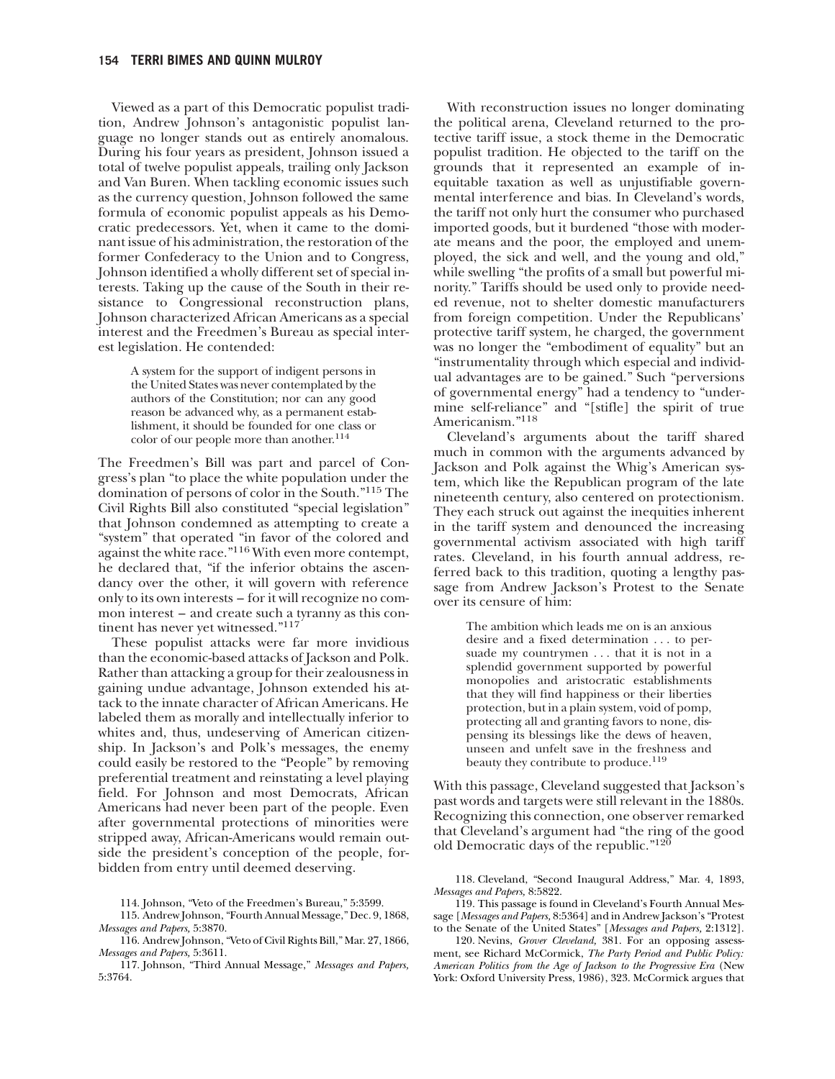Viewed as a part of this Democratic populist tradition, Andrew Johnson's antagonistic populist language no longer stands out as entirely anomalous. During his four years as president, Johnson issued a total of twelve populist appeals, trailing only Jackson and Van Buren. When tackling economic issues such as the currency question, Johnson followed the same formula of economic populist appeals as his Democratic predecessors. Yet, when it came to the dominant issue of his administration, the restoration of the former Confederacy to the Union and to Congress, Johnson identified a wholly different set of special interests. Taking up the cause of the South in their resistance to Congressional reconstruction plans, Johnson characterized African Americans as a special interest and the Freedmen's Bureau as special interest legislation. He contended:

> A system for the support of indigent persons in the United States was never contemplated by the authors of the Constitution; nor can any good reason be advanced why, as a permanent establishment, it should be founded for one class or color of our people more than another.<sup>114</sup>

The Freedmen's Bill was part and parcel of Congress's plan "to place the white population under the domination of persons of color in the South."<sup>115</sup> The Civil Rights Bill also constituted "special legislation" that Johnson condemned as attempting to create a "system" that operated "in favor of the colored and against the white race."116 With even more contempt, he declared that, "if the inferior obtains the ascendancy over the other, it will govern with reference only to its own interests – for it will recognize no common interest – and create such a tyranny as this continent has never yet witnessed."117

These populist attacks were far more invidious than the economic-based attacks of Jackson and Polk. Rather than attacking a group for their zealousness in gaining undue advantage, Johnson extended his attack to the innate character of African Americans. He labeled them as morally and intellectually inferior to whites and, thus, undeserving of American citizenship. In Jackson's and Polk's messages, the enemy could easily be restored to the "People" by removing preferential treatment and reinstating a level playing field. For Johnson and most Democrats, African Americans had never been part of the people. Even after governmental protections of minorities were stripped away, African-Americans would remain outside the president's conception of the people, forbidden from entry until deemed deserving.

With reconstruction issues no longer dominating the political arena, Cleveland returned to the protective tariff issue, a stock theme in the Democratic populist tradition. He objected to the tariff on the grounds that it represented an example of inequitable taxation as well as unjustifiable governmental interference and bias. In Cleveland's words, the tariff not only hurt the consumer who purchased imported goods, but it burdened "those with moderate means and the poor, the employed and unemployed, the sick and well, and the young and old," while swelling "the profits of a small but powerful minority." Tariffs should be used only to provide needed revenue, not to shelter domestic manufacturers from foreign competition. Under the Republicans' protective tariff system, he charged, the government was no longer the "embodiment of equality" but an "instrumentality through which especial and individual advantages are to be gained." Such "perversions of governmental energy" had a tendency to "undermine self-reliance" and "[stifle] the spirit of true Americanism."118

Cleveland's arguments about the tariff shared much in common with the arguments advanced by Jackson and Polk against the Whig's American system, which like the Republican program of the late nineteenth century, also centered on protectionism. They each struck out against the inequities inherent in the tariff system and denounced the increasing governmental activism associated with high tariff rates. Cleveland, in his fourth annual address, referred back to this tradition, quoting a lengthy passage from Andrew Jackson's Protest to the Senate over its censure of him:

> The ambition which leads me on is an anxious desire and a fixed determination . . . to persuade my countrymen . . . that it is not in a splendid government supported by powerful monopolies and aristocratic establishments that they will find happiness or their liberties protection, but in a plain system, void of pomp, protecting all and granting favors to none, dispensing its blessings like the dews of heaven, unseen and unfelt save in the freshness and beauty they contribute to produce.<sup>119</sup>

With this passage, Cleveland suggested that Jackson's past words and targets were still relevant in the 1880s. Recognizing this connection, one observer remarked that Cleveland's argument had "the ring of the good old Democratic days of the republic."<sup>120</sup>

118. Cleveland, "Second Inaugural Address," Mar. 4, 1893, *Messages and Papers,* 8:5822.

<sup>114.</sup> Johnson, "Veto of the Freedmen's Bureau," 5:3599.

<sup>115.</sup> Andrew Johnson, "Fourth Annual Message," Dec. 9, 1868,

*Messages and Papers,* 5:3870. 116. Andrew Johnson, "Veto of Civil Rights Bill," Mar. 27, 1866, *Messages and Papers,* 5:3611.

<sup>117.</sup> Johnson, "Third Annual Message," *Messages and Papers,* 5:3764.

<sup>119.</sup> This passage is found in Cleveland's Fourth Annual Message [*Messages and Papers,* 8:5364] and in Andrew Jackson's "Protest to the Senate of the United States" [*Messages and Papers,* 2:1312].

<sup>120.</sup> Nevins, *Grover Cleveland,* 381. For an opposing assessment, see Richard McCormick, *The Party Period and Public Policy: American Politics from the Age of Jackson to the Progressive Era* (New York: Oxford University Press, 1986), 323. McCormick argues that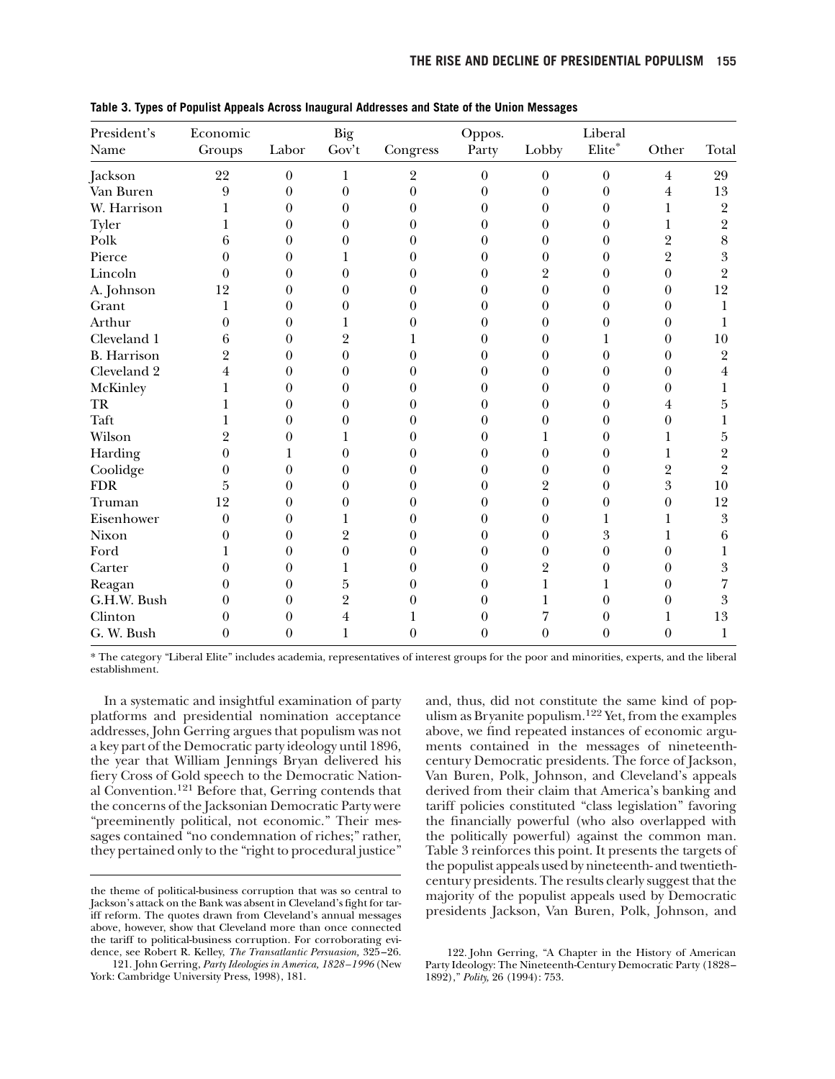| President's        | Economic       |                  | <b>Big</b>     |          | Oppos.           |          | Liberal          |                  |                |
|--------------------|----------------|------------------|----------------|----------|------------------|----------|------------------|------------------|----------------|
| Name               | Groups         | Labor            | Gov't          | Congress | Party            | Lobby    | Elite*           | Other            | Total          |
| Jackson            | 22             | $\theta$         | 1              | 2        | $\theta$         | 0        | $\boldsymbol{0}$ | $\overline{4}$   | 29             |
| Van Buren          | 9              | $\boldsymbol{0}$ | $\theta$       | $\theta$ | $\theta$         | 0        | $\theta$         | 4                | 13             |
| W. Harrison        |                | $\theta$         | $\theta$       | 0        | 0                | 0        | $\theta$         | 1                | $\overline{2}$ |
| Tyler              |                | 0                | 0              | 0        | $\overline{0}$   | 0        | $\boldsymbol{0}$ |                  | $\overline{2}$ |
| Polk               | 6              | 0                | 0              | 0        | 0                | 0        | $\theta$         | 2                | 8              |
| Pierce             | 0              | 0                | 1              | 0        | $\overline{0}$   | 0        | $\theta$         | $\overline{2}$   | 3              |
| Lincoln            | 0              | $\boldsymbol{0}$ | $\theta$       | $\theta$ | $\theta$         | 2        | $\overline{0}$   | $\boldsymbol{0}$ | 2              |
| A. Johnson         | 12             | 0                | 0              | 0        | 0                | $\theta$ | $\theta$         | 0                | 12             |
| Grant              | 1              | 0                | 0              | 0        | 0                | $_{0}$   | $\theta$         | 0                |                |
| Arthur             | 0              | 0                | 1              | $\theta$ | $\overline{0}$   | 0        | $\boldsymbol{0}$ | 0                |                |
| Cleveland 1        | 6              | 0                | $\overline{2}$ | 1        | 0                | 0        | 1                | 0                | 10             |
| <b>B.</b> Harrison | $\overline{2}$ | $\theta$         | $\theta$       | $\theta$ | $\theta$         | 0        | $\overline{0}$   | 0                | $\overline{2}$ |
| Cleveland 2        | 4              | $\theta$         | $\Omega$       | $\Omega$ | $\theta$         | 0        | $\theta$         | 0                | 4              |
| McKinley           | 1              | 0                | $\theta$       | $\theta$ | $\theta$         | $_{0}$   | 0                | 0                | 1              |
| <b>TR</b>          |                | 0                | 0              | 0        | $\theta$         | 0        | 0                | 4                | 5              |
| Taft               |                | 0                | 0              | $\theta$ | $\theta$         |          | $\theta$         | 0                |                |
| Wilson             | 2              | $\theta$         | L              | $\theta$ | 0                |          | $\theta$         |                  | 5              |
| Harding            | 0              |                  | 0              | 0        | 0                | 0        | $\theta$         |                  | $\overline{2}$ |
| Coolidge           | 0              | $\theta$         | $\theta$       | 0        | $\theta$         | 0        | $\overline{0}$   | $\overline{2}$   | $\overline{2}$ |
| <b>FDR</b>         | 5              | 0                | 0              | $\theta$ | 0                | 2        | 0                | 3                | 10             |
| Truman             | 12             | 0                | $_{0}$         | 0        | $\boldsymbol{0}$ | 0        | $\overline{0}$   | 0                | 12             |
| Eisenhower         | $\theta$       | 0                |                | $\theta$ | $\theta$         | 0        | 1                |                  | 3              |
| Nixon              | $\theta$       | 0                | $\overline{2}$ | 0        | 0                | $_{0}$   | 3                | L                | 6              |
| Ford               |                | 0                | 0              | 0        | $\overline{0}$   | 0        | $\overline{0}$   | 0                |                |
| Carter             | 0              | 0                |                | 0        | $\theta$         | 2        | $\overline{0}$   | 0                | 3              |
| Reagan             | 0              | 0                | 5              | 0        | $\theta$         |          | 1                | 0                |                |
| G.H.W. Bush        | 0              | 0                | $\overline{2}$ | 0        | $\theta$         |          | $\theta$         | 0                | 3              |
| Clinton            | 0              | 0                | 4              | 1        | $\overline{0}$   |          | $\boldsymbol{0}$ | l                | 13             |
| G. W. Bush         | 0              | 0                | 1              | $\theta$ | $\theta$         | 0        | $\theta$         | $\theta$         | 1              |

**Table 3. Types of Populist Appeals Across Inaugural Addresses and State of the Union Messages**

\* The category "Liberal Elite" includes academia, representatives of interest groups for the poor and minorities, experts, and the liberal establishment.

In a systematic and insightful examination of party platforms and presidential nomination acceptance addresses, John Gerring argues that populism was not a key part of the Democratic party ideology until 1896, the year that William Jennings Bryan delivered his fiery Cross of Gold speech to the Democratic National Convention.121 Before that, Gerring contends that the concerns of the Jacksonian Democratic Party were "preeminently political, not economic." Their messages contained "no condemnation of riches;" rather, they pertained only to the "right to procedural justice"

and, thus, did not constitute the same kind of populism as Bryanite populism.122 Yet, from the examples above, we find repeated instances of economic arguments contained in the messages of nineteenthcentury Democratic presidents. The force of Jackson, Van Buren, Polk, Johnson, and Cleveland's appeals derived from their claim that America's banking and tariff policies constituted "class legislation" favoring the financially powerful (who also overlapped with the politically powerful) against the common man. Table 3 reinforces this point. It presents the targets of the populist appeals used by nineteenth- and twentiethcentury presidents. The results clearly suggest that the majority of the populist appeals used by Democratic presidents Jackson, Van Buren, Polk, Johnson, and

the theme of political-business corruption that was so central to Jackson's attack on the Bank was absent in Cleveland's fight for tariff reform. The quotes drawn from Cleveland's annual messages above, however, show that Cleveland more than once connected the tariff to political-business corruption. For corroborating evidence, see Robert R. Kelley, *The Transatlantic Persuasion,* 325–26.

<sup>121.</sup> John Gerring, *Party Ideologies in America, 1828–1996* (New York: Cambridge University Press, 1998), 181.

<sup>122.</sup> John Gerring, "A Chapter in the History of American Party Ideology: The Nineteenth-Century Democratic Party (1828– 1892)," *Polity,* 26 (1994): 753.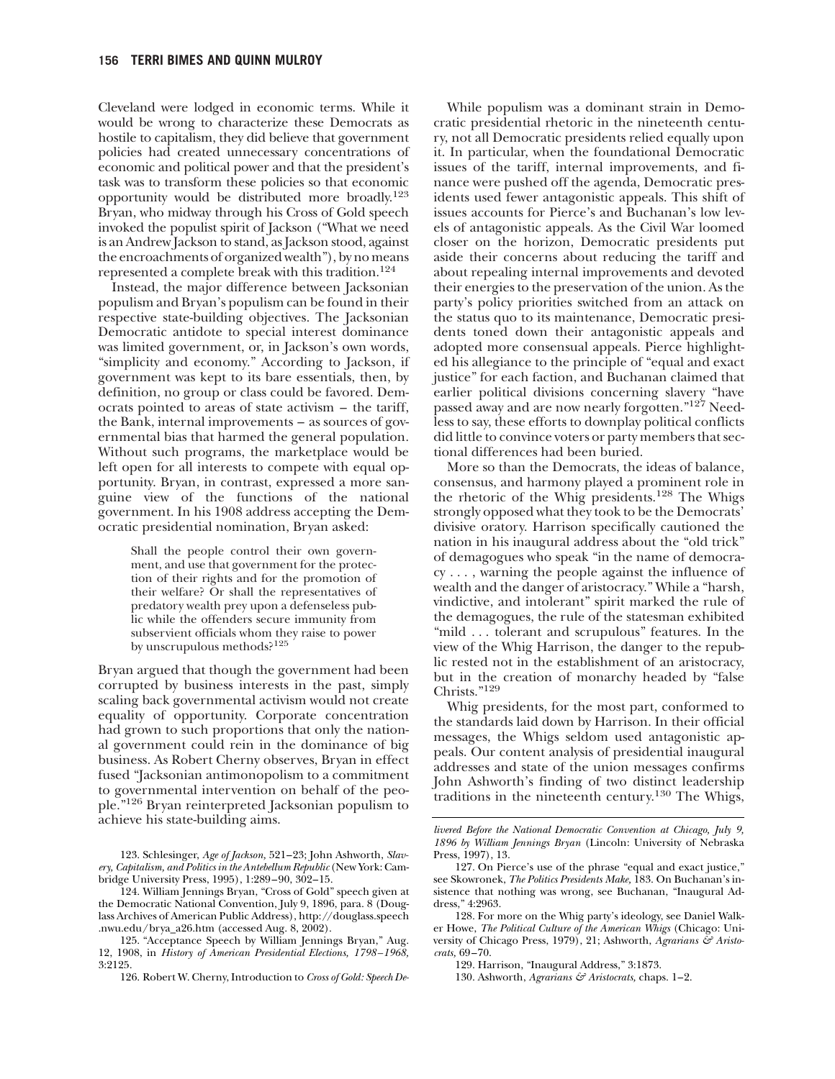Cleveland were lodged in economic terms. While it would be wrong to characterize these Democrats as hostile to capitalism, they did believe that government policies had created unnecessary concentrations of economic and political power and that the president's task was to transform these policies so that economic opportunity would be distributed more broadly.<sup>123</sup> Bryan, who midway through his Cross of Gold speech invoked the populist spirit of Jackson ("What we need is an Andrew Jackson to stand, as Jackson stood, against the encroachments of organized wealth"), by no means represented a complete break with this tradition.124

Instead, the major difference between Jacksonian populism and Bryan's populism can be found in their respective state-building objectives. The Jacksonian Democratic antidote to special interest dominance was limited government, or, in Jackson's own words, "simplicity and economy." According to Jackson, if government was kept to its bare essentials, then, by definition, no group or class could be favored. Democrats pointed to areas of state activism – the tariff, the Bank, internal improvements – as sources of governmental bias that harmed the general population. Without such programs, the marketplace would be left open for all interests to compete with equal opportunity. Bryan, in contrast, expressed a more sanguine view of the functions of the national government. In his 1908 address accepting the Democratic presidential nomination, Bryan asked:

> Shall the people control their own government, and use that government for the protection of their rights and for the promotion of their welfare? Or shall the representatives of predatory wealth prey upon a defenseless public while the offenders secure immunity from subservient officials whom they raise to power by unscrupulous methods?<sup>125</sup>

Bryan argued that though the government had been corrupted by business interests in the past, simply scaling back governmental activism would not create equality of opportunity. Corporate concentration had grown to such proportions that only the national government could rein in the dominance of big business. As Robert Cherny observes, Bryan in effect fused "Jacksonian antimonopolism to a commitment to governmental intervention on behalf of the people."<sup>126</sup> Bryan reinterpreted Jacksonian populism to achieve his state-building aims.

While populism was a dominant strain in Democratic presidential rhetoric in the nineteenth century, not all Democratic presidents relied equally upon it. In particular, when the foundational Democratic issues of the tariff, internal improvements, and finance were pushed off the agenda, Democratic presidents used fewer antagonistic appeals. This shift of issues accounts for Pierce's and Buchanan's low levels of antagonistic appeals. As the Civil War loomed closer on the horizon, Democratic presidents put aside their concerns about reducing the tariff and about repealing internal improvements and devoted their energies to the preservation of the union. As the party's policy priorities switched from an attack on the status quo to its maintenance, Democratic presidents toned down their antagonistic appeals and adopted more consensual appeals. Pierce highlighted his allegiance to the principle of "equal and exact justice" for each faction, and Buchanan claimed that earlier political divisions concerning slavery "have passed away and are now nearly forgotten."<sup>127</sup> Needless to say, these efforts to downplay political conflicts did little to convince voters or party members that sectional differences had been buried.

More so than the Democrats, the ideas of balance, consensus, and harmony played a prominent role in the rhetoric of the Whig presidents.<sup>128</sup> The Whigs strongly opposed what they took to be the Democrats' divisive oratory. Harrison specifically cautioned the nation in his inaugural address about the "old trick" of demagogues who speak "in the name of democracy . . . , warning the people against the influence of wealth and the danger of aristocracy." While a "harsh, vindictive, and intolerant" spirit marked the rule of the demagogues, the rule of the statesman exhibited "mild . . . tolerant and scrupulous" features. In the view of the Whig Harrison, the danger to the republic rested not in the establishment of an aristocracy, but in the creation of monarchy headed by "false Christs."<sup>129</sup>

Whig presidents, for the most part, conformed to the standards laid down by Harrison. In their official messages, the Whigs seldom used antagonistic appeals. Our content analysis of presidential inaugural addresses and state of the union messages confirms John Ashworth's finding of two distinct leadership traditions in the nineteenth century.130 The Whigs,

129. Harrison, "Inaugural Address," 3:1873.

130. Ashworth, *Agrarians & Aristocrats,* chaps. 1–2.

<sup>123.</sup> Schlesinger, *Age of Jackson,* 521–23; John Ashworth, *Slavery, Capitalism, and Politics in the Antebellum Republic* (New York: Cambridge University Press, 1995), 1:289–90, 302–15.

<sup>124.</sup> William Jennings Bryan, "Cross of Gold" speech given at the Democratic National Convention, July 9, 1896, para. 8 (Douglass Archives of American Public Address), http://douglass.speech .nwu.edu/brya\_a26.htm (accessed Aug. 8, 2002).

<sup>125. &</sup>quot;Acceptance Speech by William Jennings Bryan," Aug. 12, 1908, in *History of American Presidential Elections, 1798–1968,* 3:2125.

<sup>126.</sup> Robert W. Cherny, Introduction to *Cross of Gold: Speech De-*

*livered Before the National Democratic Convention at Chicago, July 9, 1896 by William Jennings Bryan* (Lincoln: University of Nebraska Press, 1997), 13.

<sup>127.</sup> On Pierce's use of the phrase "equal and exact justice," see Skowronek, *The Politics Presidents Make,* 183. On Buchanan's insistence that nothing was wrong, see Buchanan, "Inaugural Address," 4:2963.

<sup>128.</sup> For more on the Whig party's ideology, see Daniel Walker Howe, *The Political Culture of the American Whigs* (Chicago: University of Chicago Press, 1979), 21; Ashworth, *Agrarians & Aristocrats,* 69–70.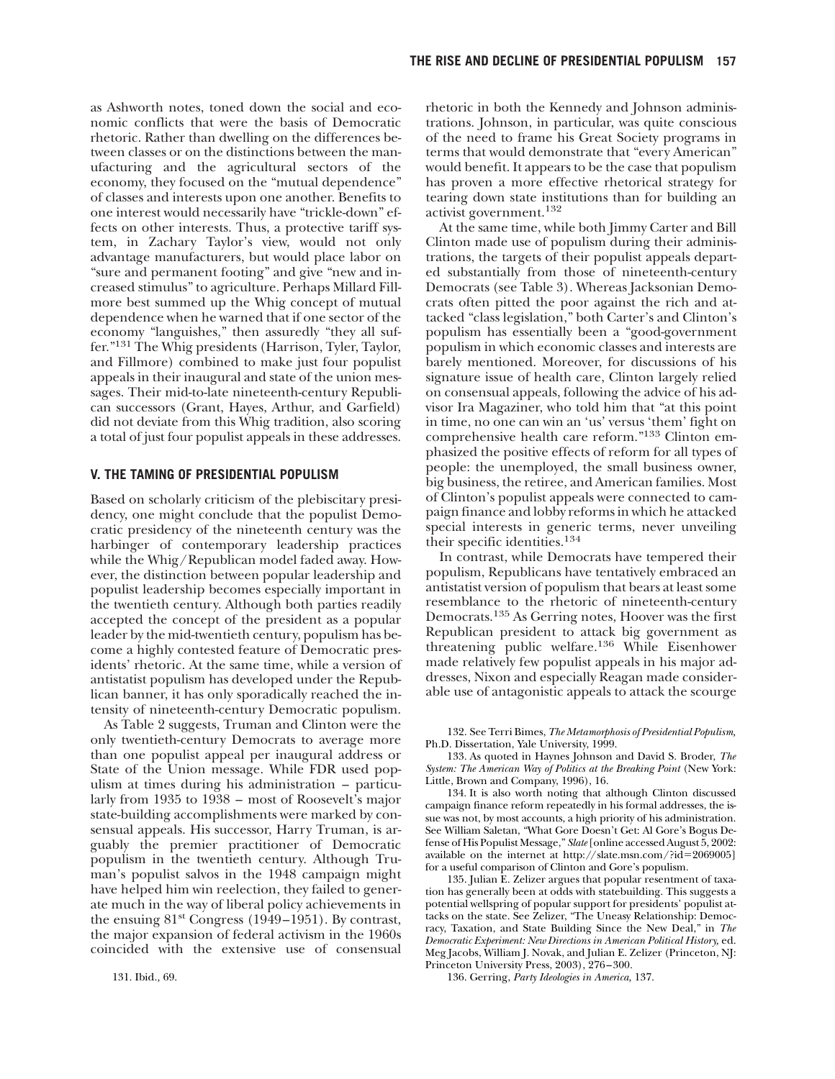as Ashworth notes, toned down the social and economic conflicts that were the basis of Democratic rhetoric. Rather than dwelling on the differences between classes or on the distinctions between the manufacturing and the agricultural sectors of the economy, they focused on the "mutual dependence" of classes and interests upon one another. Benefits to one interest would necessarily have "trickle-down" effects on other interests. Thus, a protective tariff system, in Zachary Taylor's view, would not only advantage manufacturers, but would place labor on "sure and permanent footing" and give "new and increased stimulus" to agriculture. Perhaps Millard Fillmore best summed up the Whig concept of mutual dependence when he warned that if one sector of the economy "languishes," then assuredly "they all suffer."131 The Whig presidents (Harrison, Tyler, Taylor, and Fillmore) combined to make just four populist appeals in their inaugural and state of the union messages. Their mid-to-late nineteenth-century Republican successors (Grant, Hayes, Arthur, and Garfield) did not deviate from this Whig tradition, also scoring a total of just four populist appeals in these addresses.

#### **V. THE TAMING OF PRESIDENTIAL POPULISM**

Based on scholarly criticism of the plebiscitary presidency, one might conclude that the populist Democratic presidency of the nineteenth century was the harbinger of contemporary leadership practices while the Whig/Republican model faded away. However, the distinction between popular leadership and populist leadership becomes especially important in the twentieth century. Although both parties readily accepted the concept of the president as a popular leader by the mid-twentieth century, populism has become a highly contested feature of Democratic presidents' rhetoric. At the same time, while a version of antistatist populism has developed under the Republican banner, it has only sporadically reached the intensity of nineteenth-century Democratic populism.

As Table 2 suggests, Truman and Clinton were the only twentieth-century Democrats to average more than one populist appeal per inaugural address or State of the Union message. While FDR used populism at times during his administration – particularly from 1935 to 1938 – most of Roosevelt's major state-building accomplishments were marked by consensual appeals. His successor, Harry Truman, is arguably the premier practitioner of Democratic populism in the twentieth century. Although Truman's populist salvos in the 1948 campaign might have helped him win reelection, they failed to generate much in the way of liberal policy achievements in the ensuing 81st Congress (1949–1951). By contrast, the major expansion of federal activism in the 1960s coincided with the extensive use of consensual

131. Ibid.*,* 69.

rhetoric in both the Kennedy and Johnson administrations. Johnson, in particular, was quite conscious of the need to frame his Great Society programs in terms that would demonstrate that "every American" would benefit. It appears to be the case that populism has proven a more effective rhetorical strategy for tearing down state institutions than for building an activist government.132

At the same time, while both Jimmy Carter and Bill Clinton made use of populism during their administrations, the targets of their populist appeals departed substantially from those of nineteenth-century Democrats (see Table 3). Whereas Jacksonian Democrats often pitted the poor against the rich and attacked "class legislation," both Carter's and Clinton's populism has essentially been a "good-government populism in which economic classes and interests are barely mentioned. Moreover, for discussions of his signature issue of health care, Clinton largely relied on consensual appeals, following the advice of his advisor Ira Magaziner, who told him that "at this point in time, no one can win an 'us' versus 'them' fight on comprehensive health care reform."133 Clinton emphasized the positive effects of reform for all types of people: the unemployed, the small business owner, big business, the retiree, and American families. Most of Clinton's populist appeals were connected to campaign finance and lobby reforms in which he attacked special interests in generic terms, never unveiling their specific identities.<sup>134</sup>

In contrast, while Democrats have tempered their populism, Republicans have tentatively embraced an antistatist version of populism that bears at least some resemblance to the rhetoric of nineteenth-century Democrats.135 As Gerring notes, Hoover was the first Republican president to attack big government as threatening public welfare.136 While Eisenhower made relatively few populist appeals in his major addresses, Nixon and especially Reagan made considerable use of antagonistic appeals to attack the scourge

132. See Terri Bimes, *The Metamorphosis of Presidential Populism,* Ph.D. Dissertation, Yale University, 1999.

133. As quoted in Haynes Johnson and David S. Broder, *The System: The American Way of Politics at the Breaking Point* (New York: Little, Brown and Company, 1996), 16.

134. It is also worth noting that although Clinton discussed campaign finance reform repeatedly in his formal addresses, the issue was not, by most accounts, a high priority of his administration. See William Saletan, "What Gore Doesn't Get: Al Gore's Bogus Defense of His Populist Message," *Slate* [online accessed August 5, 2002: available on the internet at http://slate.msn.com/?id-2069005] for a useful comparison of Clinton and Gore's populism.

135. Julian E. Zelizer argues that popular resentment of taxation has generally been at odds with statebuilding. This suggests a potential wellspring of popular support for presidents' populist attacks on the state. See Zelizer, "The Uneasy Relationship: Democracy, Taxation, and State Building Since the New Deal," in *The Democratic Experiment: New Directions in American Political History,* ed. Meg Jacobs, William J. Novak, and Julian E. Zelizer (Princeton, NJ: Princeton University Press, 2003), 276–300.

136. Gerring, *Party Ideologies in America,* 137.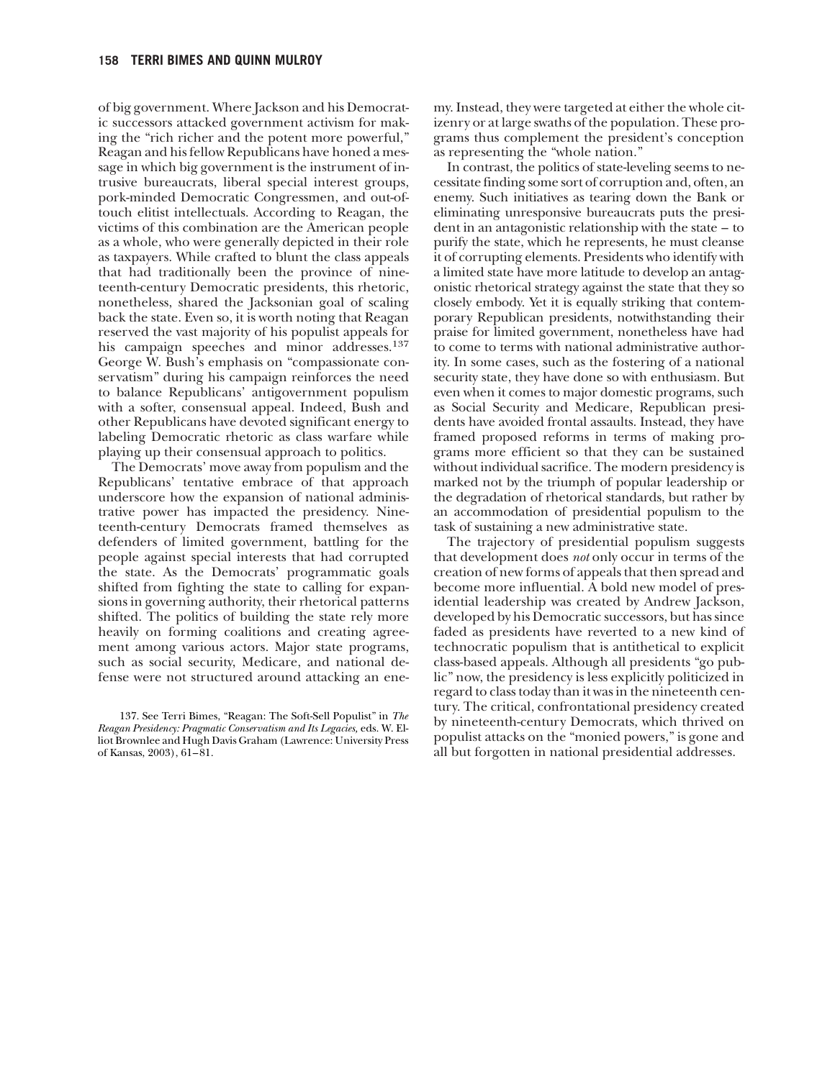of big government. Where Jackson and his Democratic successors attacked government activism for making the "rich richer and the potent more powerful," Reagan and his fellow Republicans have honed a message in which big government is the instrument of intrusive bureaucrats, liberal special interest groups, pork-minded Democratic Congressmen, and out-oftouch elitist intellectuals. According to Reagan, the victims of this combination are the American people as a whole, who were generally depicted in their role as taxpayers. While crafted to blunt the class appeals that had traditionally been the province of nineteenth-century Democratic presidents, this rhetoric, nonetheless, shared the Jacksonian goal of scaling back the state. Even so, it is worth noting that Reagan reserved the vast majority of his populist appeals for his campaign speeches and minor addresses.<sup>137</sup> George W. Bush's emphasis on "compassionate conservatism" during his campaign reinforces the need to balance Republicans' antigovernment populism with a softer, consensual appeal. Indeed, Bush and other Republicans have devoted significant energy to labeling Democratic rhetoric as class warfare while playing up their consensual approach to politics.

The Democrats' move away from populism and the Republicans' tentative embrace of that approach underscore how the expansion of national administrative power has impacted the presidency. Nineteenth-century Democrats framed themselves as defenders of limited government, battling for the people against special interests that had corrupted the state. As the Democrats' programmatic goals shifted from fighting the state to calling for expansions in governing authority, their rhetorical patterns shifted. The politics of building the state rely more heavily on forming coalitions and creating agreement among various actors. Major state programs, such as social security, Medicare, and national defense were not structured around attacking an ene-

my. Instead, they were targeted at either the whole citizenry or at large swaths of the population. These programs thus complement the president's conception as representing the "whole nation."

In contrast, the politics of state-leveling seems to necessitate finding some sort of corruption and, often, an enemy. Such initiatives as tearing down the Bank or eliminating unresponsive bureaucrats puts the president in an antagonistic relationship with the state – to purify the state, which he represents, he must cleanse it of corrupting elements. Presidents who identify with a limited state have more latitude to develop an antagonistic rhetorical strategy against the state that they so closely embody. Yet it is equally striking that contemporary Republican presidents, notwithstanding their praise for limited government, nonetheless have had to come to terms with national administrative authority. In some cases, such as the fostering of a national security state, they have done so with enthusiasm. But even when it comes to major domestic programs, such as Social Security and Medicare, Republican presidents have avoided frontal assaults. Instead, they have framed proposed reforms in terms of making programs more efficient so that they can be sustained without individual sacrifice. The modern presidency is marked not by the triumph of popular leadership or the degradation of rhetorical standards, but rather by an accommodation of presidential populism to the task of sustaining a new administrative state.

The trajectory of presidential populism suggests that development does *not* only occur in terms of the creation of new forms of appeals that then spread and become more influential. A bold new model of presidential leadership was created by Andrew Jackson, developed by his Democratic successors, but has since faded as presidents have reverted to a new kind of technocratic populism that is antithetical to explicit class-based appeals. Although all presidents "go public" now, the presidency is less explicitly politicized in regard to class today than it was in the nineteenth century. The critical, confrontational presidency created by nineteenth-century Democrats, which thrived on populist attacks on the "monied powers," is gone and all but forgotten in national presidential addresses.

<sup>137.</sup> See Terri Bimes, "Reagan: The Soft-Sell Populist" in *The Reagan Presidency: Pragmatic Conservatism and Its Legacies,* eds. W. Elliot Brownlee and Hugh Davis Graham (Lawrence: University Press of Kansas, 2003), 61–81.